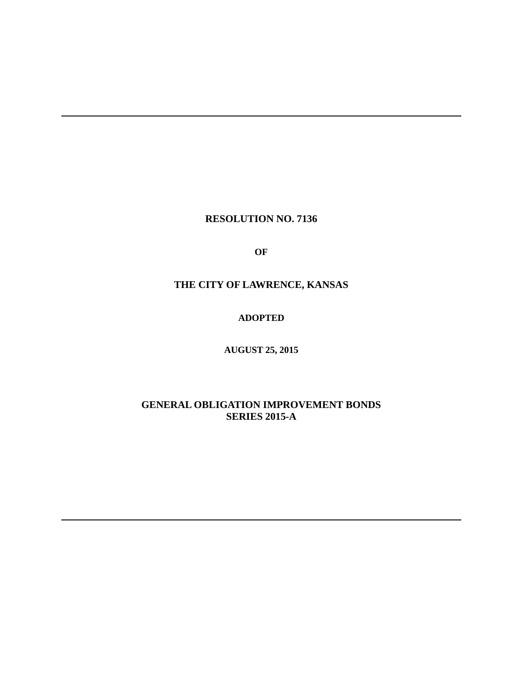# **RESOLUTION NO. 7136**

**OF**

# **THE CITY OF LAWRENCE, KANSAS**

# **ADOPTED**

# **AUGUST 25, 2015**

# **GENERAL OBLIGATION IMPROVEMENT BONDS SERIES 2015-A**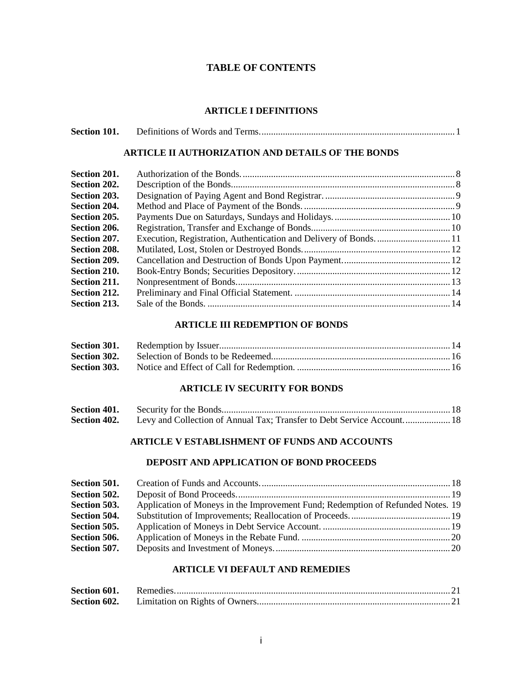# **TABLE OF CONTENTS**

#### **ARTICLE I DEFINITIONS**

| Section 101. |  |
|--------------|--|
|--------------|--|

### **ARTICLE II AUTHORIZATION AND DETAILS OF THE BONDS**

| Section 201. |                                                                    |  |
|--------------|--------------------------------------------------------------------|--|
| Section 202. |                                                                    |  |
| Section 203. |                                                                    |  |
| Section 204. |                                                                    |  |
| Section 205. |                                                                    |  |
| Section 206. |                                                                    |  |
| Section 207. | Execution, Registration, Authentication and Delivery of Bonds.  11 |  |
| Section 208. |                                                                    |  |
| Section 209. |                                                                    |  |
| Section 210. |                                                                    |  |
| Section 211. |                                                                    |  |
| Section 212. |                                                                    |  |
| Section 213. |                                                                    |  |

# **ARTICLE III REDEMPTION OF BONDS**

| Section 303. |  |
|--------------|--|

## **ARTICLE IV SECURITY FOR BONDS**

| Section 401. |                                                                        |  |
|--------------|------------------------------------------------------------------------|--|
| Section 402. | Levy and Collection of Annual Tax; Transfer to Debt Service Account 18 |  |

# **ARTICLE V ESTABLISHMENT OF FUNDS AND ACCOUNTS**

# **DEPOSIT AND APPLICATION OF BOND PROCEEDS**

| Section 501. |                                                                                 |  |
|--------------|---------------------------------------------------------------------------------|--|
| Section 502. |                                                                                 |  |
| Section 503. | Application of Moneys in the Improvement Fund; Redemption of Refunded Notes. 19 |  |
| Section 504. |                                                                                 |  |
| Section 505. |                                                                                 |  |
| Section 506. |                                                                                 |  |
| Section 507. |                                                                                 |  |
|              |                                                                                 |  |

# **ARTICLE VI DEFAULT AND REMEDIES**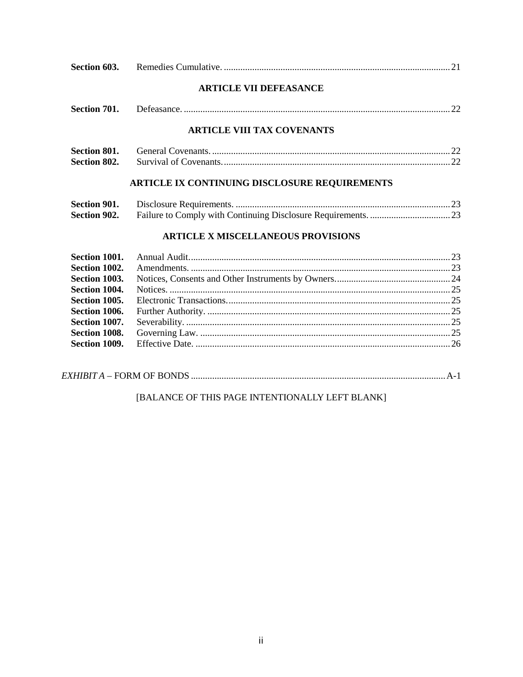|                     | <b>ARTICLE VII DEFEASANCE</b>                 |               |  |
|---------------------|-----------------------------------------------|---------------|--|
| Section 701.        |                                               |               |  |
|                     | <b>ARTICLE VIII TAX COVENANTS</b>             |               |  |
| <b>Section 801.</b> |                                               |               |  |
| <b>Section 802.</b> |                                               |               |  |
|                     | ARTICLE IX CONTINUING DISCLOSURE REQUIREMENTS |               |  |
| Section 901.        |                                               |               |  |
| <b>Section 902.</b> |                                               |               |  |
|                     | <b>ARTICLE X MISCELLANEOUS PROVISIONS</b>     |               |  |
|                     |                                               |               |  |
|                     | $\mathbf{F}_{\mathbf{0}}$                     | $\mathcal{D}$ |  |

| UVVIII TUUT I IIIIUUI I IUVIIIII IUVIII I IUVIIII I IUVIIII I IUVIIII I IUVIII I IUVIII I IUVIII I IUVIIII I I |  |
|----------------------------------------------------------------------------------------------------------------|--|
|                                                                                                                |  |
|                                                                                                                |  |
|                                                                                                                |  |
|                                                                                                                |  |
|                                                                                                                |  |
|                                                                                                                |  |
|                                                                                                                |  |
|                                                                                                                |  |
|                                                                                                                |  |

# [BALANCE OF THIS PAGE INTENTIONALLY LEFT BLANK]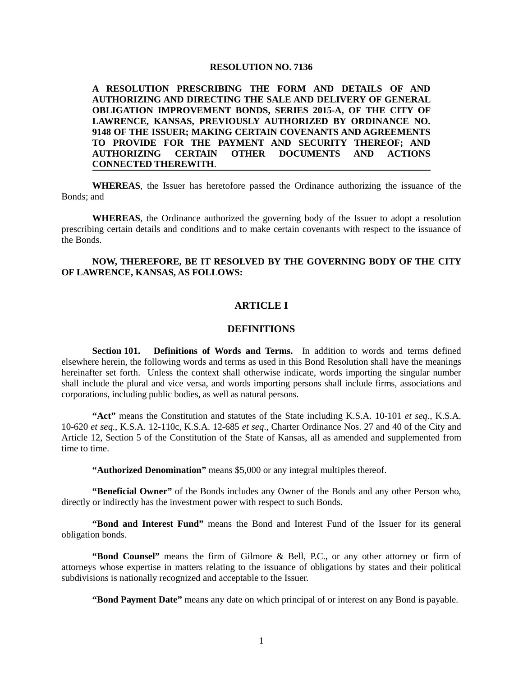#### **RESOLUTION NO. 7136**

**A RESOLUTION PRESCRIBING THE FORM AND DETAILS OF AND AUTHORIZING AND DIRECTING THE SALE AND DELIVERY OF GENERAL OBLIGATION IMPROVEMENT BONDS, SERIES 2015-A, OF THE CITY OF LAWRENCE, KANSAS, PREVIOUSLY AUTHORIZED BY ORDINANCE NO. 9148 OF THE ISSUER; MAKING CERTAIN COVENANTS AND AGREEMENTS TO PROVIDE FOR THE PAYMENT AND SECURITY THEREOF; AND AUTHORIZING CERTAIN OTHER DOCUMENTS AND ACTIONS CONNECTED THEREWITH**.

**WHEREAS**, the Issuer has heretofore passed the Ordinance authorizing the issuance of the Bonds; and

**WHEREAS**, the Ordinance authorized the governing body of the Issuer to adopt a resolution prescribing certain details and conditions and to make certain covenants with respect to the issuance of the Bonds.

#### **NOW, THEREFORE, BE IT RESOLVED BY THE GOVERNING BODY OF THE CITY OF LAWRENCE, KANSAS, AS FOLLOWS:**

### **ARTICLE I**

# **DEFINITIONS**

**Section 101. Definitions of Words and Terms.** In addition to words and terms defined elsewhere herein, the following words and terms as used in this Bond Resolution shall have the meanings hereinafter set forth. Unless the context shall otherwise indicate, words importing the singular number shall include the plural and vice versa, and words importing persons shall include firms, associations and corporations, including public bodies, as well as natural persons.

**"Act"** means the Constitution and statutes of the State including K.S.A. 10-101 *et seq*., K.S.A. 10-620 *et seq.*, K.S.A. 12-110c, K.S.A. 12-685 *et seq*., Charter Ordinance Nos. 27 and 40 of the City and Article 12, Section 5 of the Constitution of the State of Kansas, all as amended and supplemented from time to time.

**"Authorized Denomination"** means \$5,000 or any integral multiples thereof.

**"Beneficial Owner"** of the Bonds includes any Owner of the Bonds and any other Person who, directly or indirectly has the investment power with respect to such Bonds.

**"Bond and Interest Fund"** means the Bond and Interest Fund of the Issuer for its general obligation bonds.

**"Bond Counsel"** means the firm of Gilmore & Bell, P.C., or any other attorney or firm of attorneys whose expertise in matters relating to the issuance of obligations by states and their political subdivisions is nationally recognized and acceptable to the Issuer.

**"Bond Payment Date"** means any date on which principal of or interest on any Bond is payable.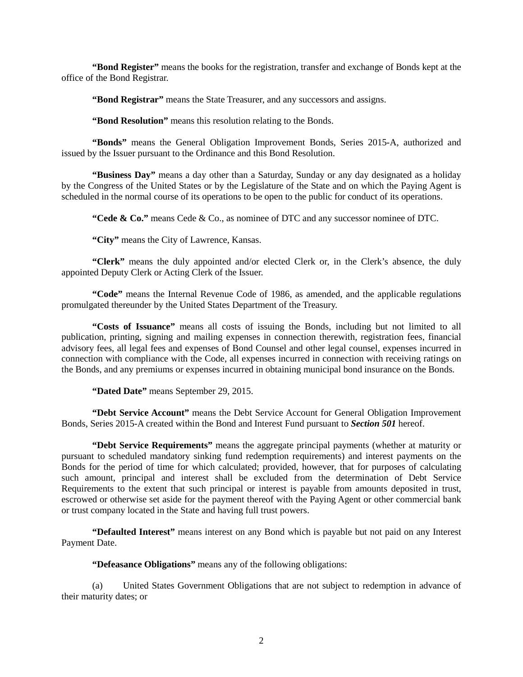**"Bond Register"** means the books for the registration, transfer and exchange of Bonds kept at the office of the Bond Registrar.

**"Bond Registrar"** means the State Treasurer, and any successors and assigns.

**"Bond Resolution"** means this resolution relating to the Bonds.

**"Bonds"** means the General Obligation Improvement Bonds, Series 2015-A, authorized and issued by the Issuer pursuant to the Ordinance and this Bond Resolution.

**"Business Day"** means a day other than a Saturday, Sunday or any day designated as a holiday by the Congress of the United States or by the Legislature of the State and on which the Paying Agent is scheduled in the normal course of its operations to be open to the public for conduct of its operations.

**"Cede & Co."** means Cede & Co., as nominee of DTC and any successor nominee of DTC.

**"City"** means the City of Lawrence, Kansas.

**"Clerk"** means the duly appointed and/or elected Clerk or, in the Clerk's absence, the duly appointed Deputy Clerk or Acting Clerk of the Issuer.

**"Code"** means the Internal Revenue Code of 1986, as amended, and the applicable regulations promulgated thereunder by the United States Department of the Treasury.

**"Costs of Issuance"** means all costs of issuing the Bonds, including but not limited to all publication, printing, signing and mailing expenses in connection therewith, registration fees, financial advisory fees, all legal fees and expenses of Bond Counsel and other legal counsel, expenses incurred in connection with compliance with the Code, all expenses incurred in connection with receiving ratings on the Bonds, and any premiums or expenses incurred in obtaining municipal bond insurance on the Bonds.

**"Dated Date"** means September 29, 2015.

**"Debt Service Account"** means the Debt Service Account for General Obligation Improvement Bonds, Series 2015-A created within the Bond and Interest Fund pursuant to *Section 501* hereof.

**"Debt Service Requirements"** means the aggregate principal payments (whether at maturity or pursuant to scheduled mandatory sinking fund redemption requirements) and interest payments on the Bonds for the period of time for which calculated; provided, however, that for purposes of calculating such amount, principal and interest shall be excluded from the determination of Debt Service Requirements to the extent that such principal or interest is payable from amounts deposited in trust, escrowed or otherwise set aside for the payment thereof with the Paying Agent or other commercial bank or trust company located in the State and having full trust powers.

**"Defaulted Interest"** means interest on any Bond which is payable but not paid on any Interest Payment Date.

**"Defeasance Obligations"** means any of the following obligations:

(a) United States Government Obligations that are not subject to redemption in advance of their maturity dates; or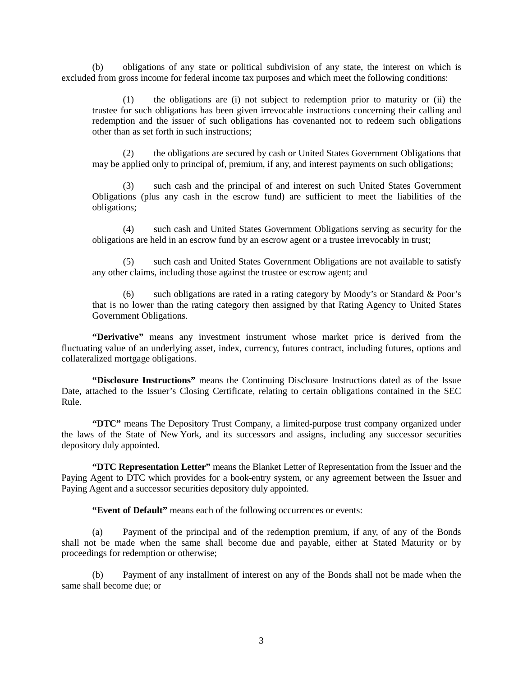(b) obligations of any state or political subdivision of any state, the interest on which is excluded from gross income for federal income tax purposes and which meet the following conditions:

(1) the obligations are (i) not subject to redemption prior to maturity or (ii) the trustee for such obligations has been given irrevocable instructions concerning their calling and redemption and the issuer of such obligations has covenanted not to redeem such obligations other than as set forth in such instructions;

(2) the obligations are secured by cash or United States Government Obligations that may be applied only to principal of, premium, if any, and interest payments on such obligations;

(3) such cash and the principal of and interest on such United States Government Obligations (plus any cash in the escrow fund) are sufficient to meet the liabilities of the obligations;

(4) such cash and United States Government Obligations serving as security for the obligations are held in an escrow fund by an escrow agent or a trustee irrevocably in trust;

(5) such cash and United States Government Obligations are not available to satisfy any other claims, including those against the trustee or escrow agent; and

(6) such obligations are rated in a rating category by Moody's or Standard & Poor's that is no lower than the rating category then assigned by that Rating Agency to United States Government Obligations.

**"Derivative"** means any investment instrument whose market price is derived from the fluctuating value of an underlying asset, index, currency, futures contract, including futures, options and collateralized mortgage obligations.

**"Disclosure Instructions"** means the Continuing Disclosure Instructions dated as of the Issue Date, attached to the Issuer's Closing Certificate, relating to certain obligations contained in the SEC Rule.

**"DTC"** means The Depository Trust Company, a limited-purpose trust company organized under the laws of the State of New York, and its successors and assigns, including any successor securities depository duly appointed.

**"DTC Representation Letter"** means the Blanket Letter of Representation from the Issuer and the Paying Agent to DTC which provides for a book-entry system, or any agreement between the Issuer and Paying Agent and a successor securities depository duly appointed.

**"Event of Default"** means each of the following occurrences or events:

(a) Payment of the principal and of the redemption premium, if any, of any of the Bonds shall not be made when the same shall become due and payable, either at Stated Maturity or by proceedings for redemption or otherwise;

(b) Payment of any installment of interest on any of the Bonds shall not be made when the same shall become due; or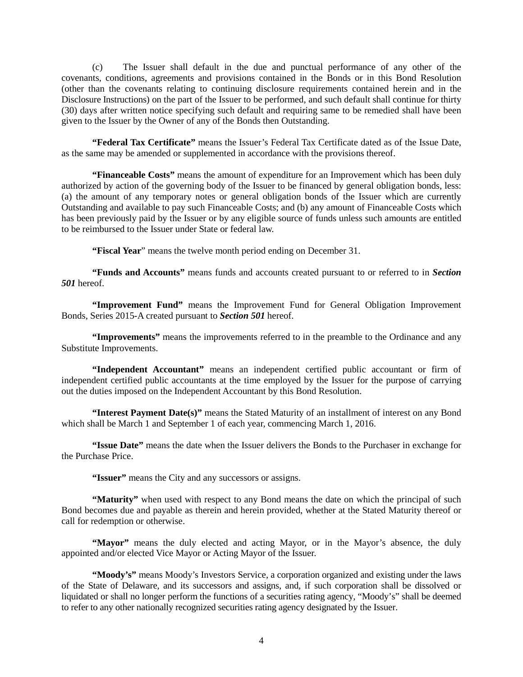(c) The Issuer shall default in the due and punctual performance of any other of the covenants, conditions, agreements and provisions contained in the Bonds or in this Bond Resolution (other than the covenants relating to continuing disclosure requirements contained herein and in the Disclosure Instructions) on the part of the Issuer to be performed, and such default shall continue for thirty (30) days after written notice specifying such default and requiring same to be remedied shall have been given to the Issuer by the Owner of any of the Bonds then Outstanding.

**"Federal Tax Certificate"** means the Issuer's Federal Tax Certificate dated as of the Issue Date, as the same may be amended or supplemented in accordance with the provisions thereof.

**"Financeable Costs"** means the amount of expenditure for an Improvement which has been duly authorized by action of the governing body of the Issuer to be financed by general obligation bonds, less: (a) the amount of any temporary notes or general obligation bonds of the Issuer which are currently Outstanding and available to pay such Financeable Costs; and (b) any amount of Financeable Costs which has been previously paid by the Issuer or by any eligible source of funds unless such amounts are entitled to be reimbursed to the Issuer under State or federal law.

**"Fiscal Year**" means the twelve month period ending on December 31.

**"Funds and Accounts"** means funds and accounts created pursuant to or referred to in *Section 501* hereof.

**"Improvement Fund"** means the Improvement Fund for General Obligation Improvement Bonds, Series 2015-A created pursuant to *Section 501* hereof.

**"Improvements"** means the improvements referred to in the preamble to the Ordinance and any Substitute Improvements.

**"Independent Accountant"** means an independent certified public accountant or firm of independent certified public accountants at the time employed by the Issuer for the purpose of carrying out the duties imposed on the Independent Accountant by this Bond Resolution.

**"Interest Payment Date(s)"** means the Stated Maturity of an installment of interest on any Bond which shall be March 1 and September 1 of each year, commencing March 1, 2016.

**"Issue Date"** means the date when the Issuer delivers the Bonds to the Purchaser in exchange for the Purchase Price.

**"Issuer"** means the City and any successors or assigns.

**"Maturity"** when used with respect to any Bond means the date on which the principal of such Bond becomes due and payable as therein and herein provided, whether at the Stated Maturity thereof or call for redemption or otherwise.

**"Mayor"** means the duly elected and acting Mayor, or in the Mayor's absence, the duly appointed and/or elected Vice Mayor or Acting Mayor of the Issuer.

**"Moody's"** means Moody's Investors Service, a corporation organized and existing under the laws of the State of Delaware, and its successors and assigns, and, if such corporation shall be dissolved or liquidated or shall no longer perform the functions of a securities rating agency, "Moody's" shall be deemed to refer to any other nationally recognized securities rating agency designated by the Issuer.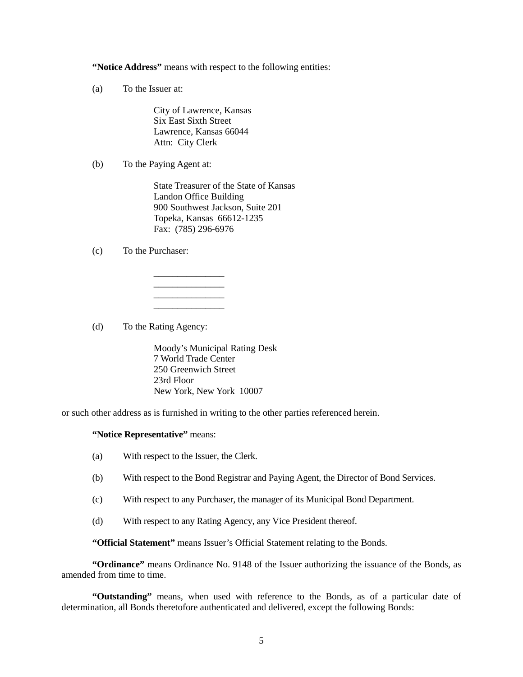**"Notice Address"** means with respect to the following entities:

(a) To the Issuer at:

City of Lawrence, Kansas Six East Sixth Street Lawrence, Kansas 66044 Attn: City Clerk

 $\overline{\phantom{a}}$  , where  $\overline{\phantom{a}}$ \_\_\_\_\_\_\_\_\_\_\_\_\_\_\_ \_\_\_\_\_\_\_\_\_\_\_\_\_\_\_  $\overline{\phantom{a}}$  , where  $\overline{\phantom{a}}$ 

(b) To the Paying Agent at:

State Treasurer of the State of Kansas Landon Office Building 900 Southwest Jackson, Suite 201 Topeka, Kansas 66612-1235 Fax: (785) 296-6976

(c) To the Purchaser:

(d) To the Rating Agency:

Moody's Municipal Rating Desk 7 World Trade Center 250 Greenwich Street 23rd Floor New York, New York 10007

or such other address as is furnished in writing to the other parties referenced herein.

#### **"Notice Representative"** means:

- (a) With respect to the Issuer, the Clerk.
- (b) With respect to the Bond Registrar and Paying Agent, the Director of Bond Services.
- (c) With respect to any Purchaser, the manager of its Municipal Bond Department.
- (d) With respect to any Rating Agency, any Vice President thereof.

**"Official Statement"** means Issuer's Official Statement relating to the Bonds.

**"Ordinance"** means Ordinance No. 9148 of the Issuer authorizing the issuance of the Bonds, as amended from time to time.

**"Outstanding"** means, when used with reference to the Bonds, as of a particular date of determination, all Bonds theretofore authenticated and delivered, except the following Bonds: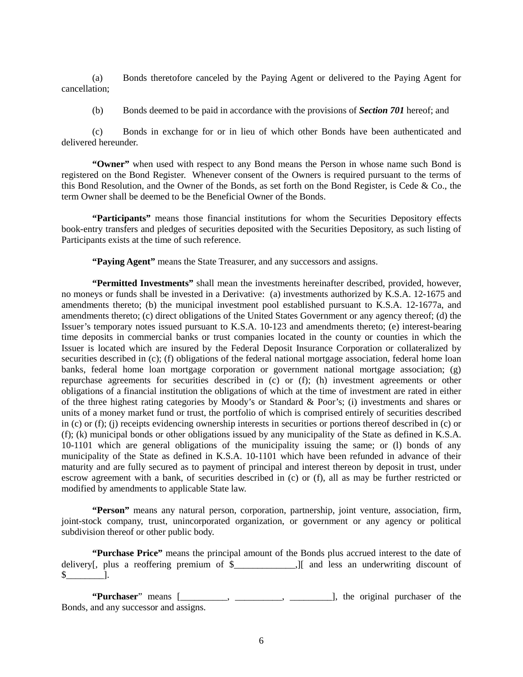(a) Bonds theretofore canceled by the Paying Agent or delivered to the Paying Agent for cancellation;

(b) Bonds deemed to be paid in accordance with the provisions of *Section 701* hereof; and

(c) Bonds in exchange for or in lieu of which other Bonds have been authenticated and delivered hereunder.

**"Owner"** when used with respect to any Bond means the Person in whose name such Bond is registered on the Bond Register. Whenever consent of the Owners is required pursuant to the terms of this Bond Resolution, and the Owner of the Bonds, as set forth on the Bond Register, is Cede & Co., the term Owner shall be deemed to be the Beneficial Owner of the Bonds.

**"Participants"** means those financial institutions for whom the Securities Depository effects book-entry transfers and pledges of securities deposited with the Securities Depository, as such listing of Participants exists at the time of such reference.

**"Paying Agent"** means the State Treasurer, and any successors and assigns.

**"Permitted Investments"** shall mean the investments hereinafter described, provided, however, no moneys or funds shall be invested in a Derivative: (a) investments authorized by K.S.A. 12-1675 and amendments thereto; (b) the municipal investment pool established pursuant to K.S.A. 12-1677a, and amendments thereto; (c) direct obligations of the United States Government or any agency thereof; (d) the Issuer's temporary notes issued pursuant to K.S.A. 10-123 and amendments thereto; (e) interest-bearing time deposits in commercial banks or trust companies located in the county or counties in which the Issuer is located which are insured by the Federal Deposit Insurance Corporation or collateralized by securities described in (c); (f) obligations of the federal national mortgage association, federal home loan banks, federal home loan mortgage corporation or government national mortgage association; (g) repurchase agreements for securities described in (c) or (f); (h) investment agreements or other obligations of a financial institution the obligations of which at the time of investment are rated in either of the three highest rating categories by Moody's or Standard & Poor's; (i) investments and shares or units of a money market fund or trust, the portfolio of which is comprised entirely of securities described in (c) or (f); (j) receipts evidencing ownership interests in securities or portions thereof described in (c) or (f); (k) municipal bonds or other obligations issued by any municipality of the State as defined in K.S.A. 10-1101 which are general obligations of the municipality issuing the same; or (l) bonds of any municipality of the State as defined in K.S.A. 10-1101 which have been refunded in advance of their maturity and are fully secured as to payment of principal and interest thereon by deposit in trust, under escrow agreement with a bank, of securities described in (c) or (f), all as may be further restricted or modified by amendments to applicable State law.

**"Person"** means any natural person, corporation, partnership, joint venture, association, firm, joint-stock company, trust, unincorporated organization, or government or any agency or political subdivision thereof or other public body.

**"Purchase Price"** means the principal amount of the Bonds plus accrued interest to the date of delivery[, plus a reoffering premium of  $\hat{\S}$  [1], and less an underwriting discount of  $\sim$  1.

"Purchaser" means [\_\_\_\_\_\_\_, \_\_\_\_\_\_\_\_, \_\_\_\_\_\_\_\_\_\_\_\_\_\_\_], the original purchaser of the Bonds, and any successor and assigns.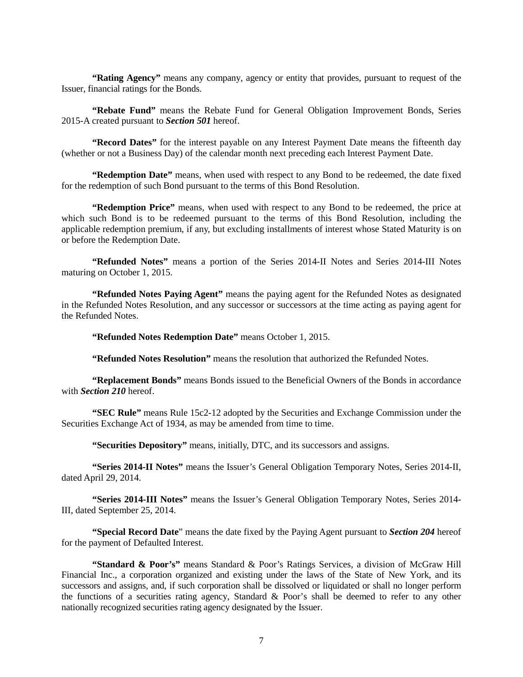**"Rating Agency"** means any company, agency or entity that provides, pursuant to request of the Issuer, financial ratings for the Bonds.

**"Rebate Fund"** means the Rebate Fund for General Obligation Improvement Bonds, Series 2015-A created pursuant to *Section 501* hereof.

**"Record Dates"** for the interest payable on any Interest Payment Date means the fifteenth day (whether or not a Business Day) of the calendar month next preceding each Interest Payment Date.

**"Redemption Date"** means, when used with respect to any Bond to be redeemed, the date fixed for the redemption of such Bond pursuant to the terms of this Bond Resolution.

**"Redemption Price"** means, when used with respect to any Bond to be redeemed, the price at which such Bond is to be redeemed pursuant to the terms of this Bond Resolution, including the applicable redemption premium, if any, but excluding installments of interest whose Stated Maturity is on or before the Redemption Date.

**"Refunded Notes"** means a portion of the Series 2014-II Notes and Series 2014-III Notes maturing on October 1, 2015.

**"Refunded Notes Paying Agent"** means the paying agent for the Refunded Notes as designated in the Refunded Notes Resolution, and any successor or successors at the time acting as paying agent for the Refunded Notes.

**"Refunded Notes Redemption Date"** means October 1, 2015.

**"Refunded Notes Resolution"** means the resolution that authorized the Refunded Notes.

**"Replacement Bonds"** means Bonds issued to the Beneficial Owners of the Bonds in accordance with *Section 210* hereof.

**"SEC Rule"** means Rule 15c2-12 adopted by the Securities and Exchange Commission under the Securities Exchange Act of 1934, as may be amended from time to time.

**"Securities Depository"** means, initially, DTC, and its successors and assigns.

**"Series 2014-II Notes"** means the Issuer's General Obligation Temporary Notes, Series 2014-II, dated April 29, 2014.

**"Series 2014-III Notes"** means the Issuer's General Obligation Temporary Notes, Series 2014- III, dated September 25, 2014.

**"Special Record Date**" means the date fixed by the Paying Agent pursuant to *Section 204* hereof for the payment of Defaulted Interest.

**"Standard & Poor's"** means Standard & Poor's Ratings Services, a division of McGraw Hill Financial Inc., a corporation organized and existing under the laws of the State of New York, and its successors and assigns, and, if such corporation shall be dissolved or liquidated or shall no longer perform the functions of a securities rating agency, Standard & Poor's shall be deemed to refer to any other nationally recognized securities rating agency designated by the Issuer.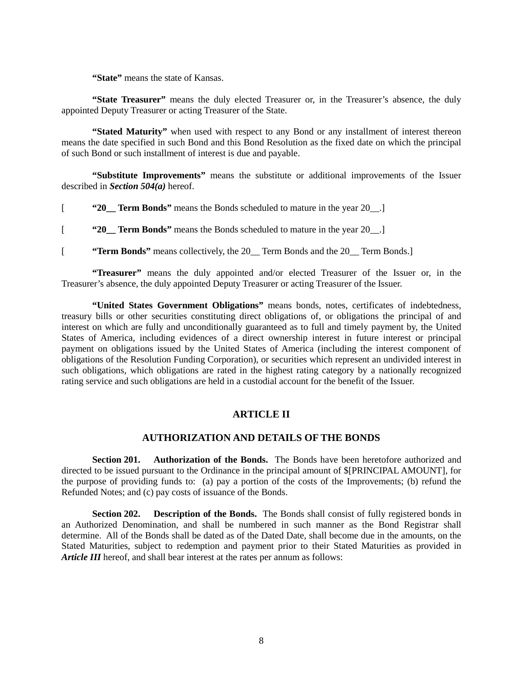**"State"** means the state of Kansas.

**"State Treasurer"** means the duly elected Treasurer or, in the Treasurer's absence, the duly appointed Deputy Treasurer or acting Treasurer of the State.

**"Stated Maturity"** when used with respect to any Bond or any installment of interest thereon means the date specified in such Bond and this Bond Resolution as the fixed date on which the principal of such Bond or such installment of interest is due and payable.

**"Substitute Improvements"** means the substitute or additional improvements of the Issuer described in *Section 504(a)* hereof.

[ **"20\_\_ Term Bonds"** means the Bonds scheduled to mature in the year 20\_\_.]

[ **"20\_\_ Term Bonds"** means the Bonds scheduled to mature in the year 20\_\_.]

[ **"Term Bonds"** means collectively, the 20\_\_ Term Bonds and the 20\_\_ Term Bonds.]

**"Treasurer"** means the duly appointed and/or elected Treasurer of the Issuer or, in the Treasurer's absence, the duly appointed Deputy Treasurer or acting Treasurer of the Issuer.

**"United States Government Obligations"** means bonds, notes, certificates of indebtedness, treasury bills or other securities constituting direct obligations of, or obligations the principal of and interest on which are fully and unconditionally guaranteed as to full and timely payment by, the United States of America, including evidences of a direct ownership interest in future interest or principal payment on obligations issued by the United States of America (including the interest component of obligations of the Resolution Funding Corporation), or securities which represent an undivided interest in such obligations, which obligations are rated in the highest rating category by a nationally recognized rating service and such obligations are held in a custodial account for the benefit of the Issuer.

# **ARTICLE II**

# **AUTHORIZATION AND DETAILS OF THE BONDS**

**Section 201. Authorization of the Bonds.** The Bonds have been heretofore authorized and directed to be issued pursuant to the Ordinance in the principal amount of \$[PRINCIPAL AMOUNT], for the purpose of providing funds to: (a) pay a portion of the costs of the Improvements; (b) refund the Refunded Notes; and (c) pay costs of issuance of the Bonds.

**Section 202. Description of the Bonds.** The Bonds shall consist of fully registered bonds in an Authorized Denomination, and shall be numbered in such manner as the Bond Registrar shall determine. All of the Bonds shall be dated as of the Dated Date, shall become due in the amounts, on the Stated Maturities, subject to redemption and payment prior to their Stated Maturities as provided in *Article III* hereof, and shall bear interest at the rates per annum as follows: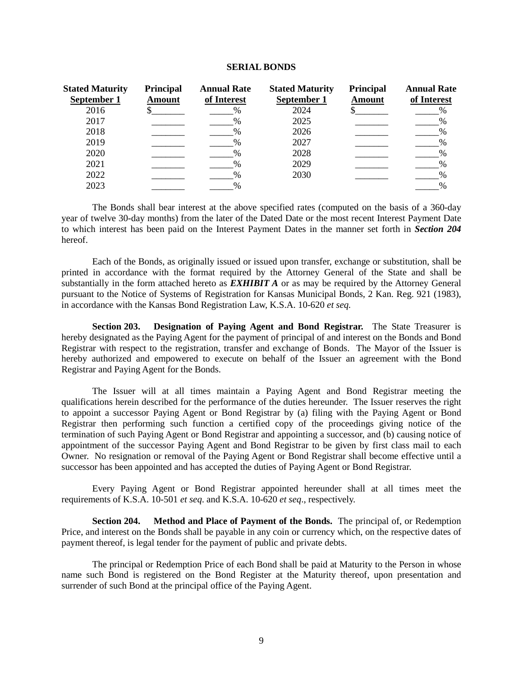#### **SERIAL BONDS**

| <b>Stated Maturity</b><br>September 1 | <b>Principal</b><br>Amount | <b>Annual Rate</b><br>of Interest | <b>Stated Maturity</b><br>September 1 | <b>Principal</b><br><b>Amount</b> | <b>Annual Rate</b><br>of Interest |
|---------------------------------------|----------------------------|-----------------------------------|---------------------------------------|-----------------------------------|-----------------------------------|
| 2016                                  |                            | $\frac{0}{0}$                     | 2024                                  |                                   |                                   |
| 2017                                  |                            | $\frac{0}{0}$                     | 2025                                  |                                   | %                                 |
| 2018                                  |                            | $\frac{0}{6}$                     | 2026                                  |                                   | $\%$                              |
| 2019                                  |                            |                                   | 2027                                  |                                   | $\%$                              |
| 2020                                  |                            | $\frac{0}{6}$                     | 2028                                  |                                   | %                                 |
| 2021                                  |                            | $\frac{0}{6}$                     | 2029                                  |                                   | $\%$                              |
| 2022                                  |                            | $\frac{0}{0}$                     | 2030                                  |                                   | $\%$                              |
| 2023                                  |                            | $\frac{0}{0}$                     |                                       |                                   | %                                 |

The Bonds shall bear interest at the above specified rates (computed on the basis of a 360-day year of twelve 30-day months) from the later of the Dated Date or the most recent Interest Payment Date to which interest has been paid on the Interest Payment Dates in the manner set forth in *Section 204* hereof.

Each of the Bonds, as originally issued or issued upon transfer, exchange or substitution, shall be printed in accordance with the format required by the Attorney General of the State and shall be substantially in the form attached hereto as *EXHIBIT A* or as may be required by the Attorney General pursuant to the Notice of Systems of Registration for Kansas Municipal Bonds, 2 Kan. Reg. 921 (1983), in accordance with the Kansas Bond Registration Law, K.S.A. 10-620 *et seq.*

**Section 203. Designation of Paying Agent and Bond Registrar.** The State Treasurer is hereby designated as the Paying Agent for the payment of principal of and interest on the Bonds and Bond Registrar with respect to the registration, transfer and exchange of Bonds. The Mayor of the Issuer is hereby authorized and empowered to execute on behalf of the Issuer an agreement with the Bond Registrar and Paying Agent for the Bonds.

The Issuer will at all times maintain a Paying Agent and Bond Registrar meeting the qualifications herein described for the performance of the duties hereunder. The Issuer reserves the right to appoint a successor Paying Agent or Bond Registrar by (a) filing with the Paying Agent or Bond Registrar then performing such function a certified copy of the proceedings giving notice of the termination of such Paying Agent or Bond Registrar and appointing a successor, and (b) causing notice of appointment of the successor Paying Agent and Bond Registrar to be given by first class mail to each Owner. No resignation or removal of the Paying Agent or Bond Registrar shall become effective until a successor has been appointed and has accepted the duties of Paying Agent or Bond Registrar.

Every Paying Agent or Bond Registrar appointed hereunder shall at all times meet the requirements of K.S.A. 10-501 *et seq*. and K.S.A. 10-620 *et seq*., respectively.

**Section 204. Method and Place of Payment of the Bonds.** The principal of, or Redemption Price, and interest on the Bonds shall be payable in any coin or currency which, on the respective dates of payment thereof, is legal tender for the payment of public and private debts.

The principal or Redemption Price of each Bond shall be paid at Maturity to the Person in whose name such Bond is registered on the Bond Register at the Maturity thereof, upon presentation and surrender of such Bond at the principal office of the Paying Agent.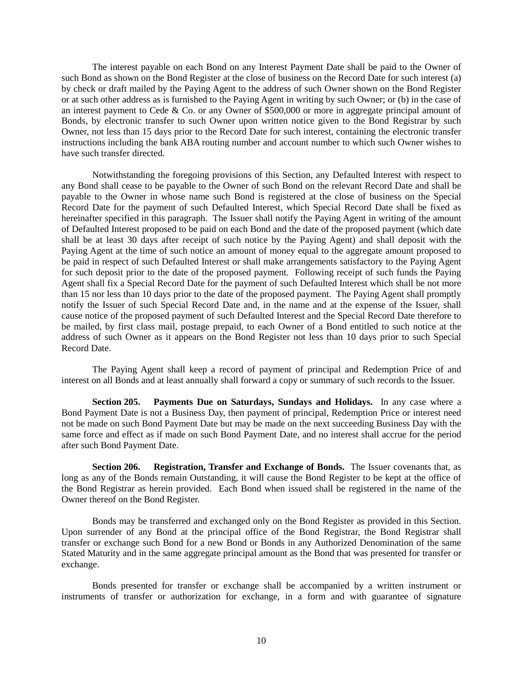The interest payable on each Bond on any Interest Payment Date shall be paid to the Owner of such Bond as shown on the Bond Register at the close of business on the Record Date for such interest (a) by check or draft mailed by the Paying Agent to the address of such Owner shown on the Bond Register or at such other address as is furnished to the Paying Agent in writing by such Owner; or (b) in the case of an interest payment to Cede & Co. or any Owner of \$500,000 or more in aggregate principal amount of Bonds, by electronic transfer to such Owner upon written notice given to the Bond Registrar by such Owner, not less than 15 days prior to the Record Date for such interest, containing the electronic transfer instructions including the bank ABA routing number and account number to which such Owner wishes to have such transfer directed.

Notwithstanding the foregoing provisions of this Section, any Defaulted Interest with respect to any Bond shall cease to be payable to the Owner of such Bond on the relevant Record Date and shall be payable to the Owner in whose name such Bond is registered at the close of business on the Special Record Date for the payment of such Defaulted Interest, which Special Record Date shall be fixed as hereinafter specified in this paragraph. The Issuer shall notify the Paying Agent in writing of the amount of Defaulted Interest proposed to be paid on each Bond and the date of the proposed payment (which date shall be at least 30 days after receipt of such notice by the Paying Agent) and shall deposit with the Paying Agent at the time of such notice an amount of money equal to the aggregate amount proposed to be paid in respect of such Defaulted Interest or shall make arrangements satisfactory to the Paying Agent for such deposit prior to the date of the proposed payment. Following receipt of such funds the Paying Agent shall fix a Special Record Date for the payment of such Defaulted Interest which shall be not more than 15 nor less than 10 days prior to the date of the proposed payment. The Paying Agent shall promptly notify the Issuer of such Special Record Date and, in the name and at the expense of the Issuer, shall cause notice of the proposed payment of such Defaulted Interest and the Special Record Date therefore to be mailed, by first class mail, postage prepaid, to each Owner of a Bond entitled to such notice at the address of such Owner as it appears on the Bond Register not less than 10 days prior to such Special Record Date.

The Paying Agent shall keep a record of payment of principal and Redemption Price of and interest on all Bonds and at least annually shall forward a copy or summary of such records to the Issuer.

**Section 205. Payments Due on Saturdays, Sundays and Holidays.** In any case where a Bond Payment Date is not a Business Day, then payment of principal, Redemption Price or interest need not be made on such Bond Payment Date but may be made on the next succeeding Business Day with the same force and effect as if made on such Bond Payment Date, and no interest shall accrue for the period after such Bond Payment Date.

**Section 206. Registration, Transfer and Exchange of Bonds.** The Issuer covenants that, as long as any of the Bonds remain Outstanding, it will cause the Bond Register to be kept at the office of the Bond Registrar as herein provided. Each Bond when issued shall be registered in the name of the Owner thereof on the Bond Register.

Bonds may be transferred and exchanged only on the Bond Register as provided in this Section. Upon surrender of any Bond at the principal office of the Bond Registrar, the Bond Registrar shall transfer or exchange such Bond for a new Bond or Bonds in any Authorized Denomination of the same Stated Maturity and in the same aggregate principal amount as the Bond that was presented for transfer or exchange.

Bonds presented for transfer or exchange shall be accompanied by a written instrument or instruments of transfer or authorization for exchange, in a form and with guarantee of signature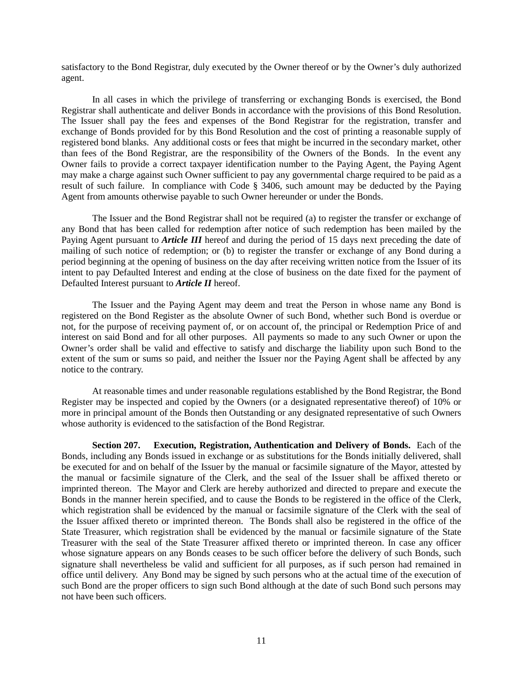satisfactory to the Bond Registrar, duly executed by the Owner thereof or by the Owner's duly authorized agent.

In all cases in which the privilege of transferring or exchanging Bonds is exercised, the Bond Registrar shall authenticate and deliver Bonds in accordance with the provisions of this Bond Resolution. The Issuer shall pay the fees and expenses of the Bond Registrar for the registration, transfer and exchange of Bonds provided for by this Bond Resolution and the cost of printing a reasonable supply of registered bond blanks. Any additional costs or fees that might be incurred in the secondary market, other than fees of the Bond Registrar, are the responsibility of the Owners of the Bonds. In the event any Owner fails to provide a correct taxpayer identification number to the Paying Agent, the Paying Agent may make a charge against such Owner sufficient to pay any governmental charge required to be paid as a result of such failure. In compliance with Code § 3406, such amount may be deducted by the Paying Agent from amounts otherwise payable to such Owner hereunder or under the Bonds.

The Issuer and the Bond Registrar shall not be required (a) to register the transfer or exchange of any Bond that has been called for redemption after notice of such redemption has been mailed by the Paying Agent pursuant to *Article III* hereof and during the period of 15 days next preceding the date of mailing of such notice of redemption; or (b) to register the transfer or exchange of any Bond during a period beginning at the opening of business on the day after receiving written notice from the Issuer of its intent to pay Defaulted Interest and ending at the close of business on the date fixed for the payment of Defaulted Interest pursuant to *Article II* hereof.

The Issuer and the Paying Agent may deem and treat the Person in whose name any Bond is registered on the Bond Register as the absolute Owner of such Bond, whether such Bond is overdue or not, for the purpose of receiving payment of, or on account of, the principal or Redemption Price of and interest on said Bond and for all other purposes. All payments so made to any such Owner or upon the Owner's order shall be valid and effective to satisfy and discharge the liability upon such Bond to the extent of the sum or sums so paid, and neither the Issuer nor the Paying Agent shall be affected by any notice to the contrary.

At reasonable times and under reasonable regulations established by the Bond Registrar, the Bond Register may be inspected and copied by the Owners (or a designated representative thereof) of 10% or more in principal amount of the Bonds then Outstanding or any designated representative of such Owners whose authority is evidenced to the satisfaction of the Bond Registrar.

**Section 207. Execution, Registration, Authentication and Delivery of Bonds.** Each of the Bonds, including any Bonds issued in exchange or as substitutions for the Bonds initially delivered, shall be executed for and on behalf of the Issuer by the manual or facsimile signature of the Mayor, attested by the manual or facsimile signature of the Clerk, and the seal of the Issuer shall be affixed thereto or imprinted thereon. The Mayor and Clerk are hereby authorized and directed to prepare and execute the Bonds in the manner herein specified, and to cause the Bonds to be registered in the office of the Clerk, which registration shall be evidenced by the manual or facsimile signature of the Clerk with the seal of the Issuer affixed thereto or imprinted thereon. The Bonds shall also be registered in the office of the State Treasurer, which registration shall be evidenced by the manual or facsimile signature of the State Treasurer with the seal of the State Treasurer affixed thereto or imprinted thereon. In case any officer whose signature appears on any Bonds ceases to be such officer before the delivery of such Bonds, such signature shall nevertheless be valid and sufficient for all purposes, as if such person had remained in office until delivery. Any Bond may be signed by such persons who at the actual time of the execution of such Bond are the proper officers to sign such Bond although at the date of such Bond such persons may not have been such officers.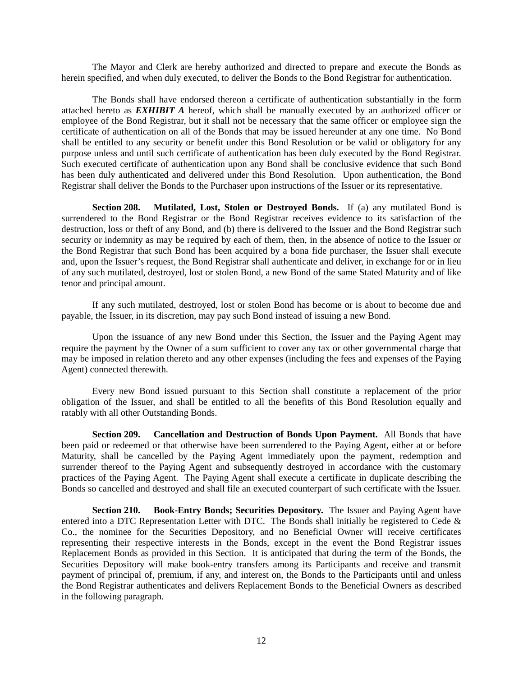The Mayor and Clerk are hereby authorized and directed to prepare and execute the Bonds as herein specified, and when duly executed, to deliver the Bonds to the Bond Registrar for authentication.

The Bonds shall have endorsed thereon a certificate of authentication substantially in the form attached hereto as *EXHIBIT A* hereof, which shall be manually executed by an authorized officer or employee of the Bond Registrar, but it shall not be necessary that the same officer or employee sign the certificate of authentication on all of the Bonds that may be issued hereunder at any one time. No Bond shall be entitled to any security or benefit under this Bond Resolution or be valid or obligatory for any purpose unless and until such certificate of authentication has been duly executed by the Bond Registrar. Such executed certificate of authentication upon any Bond shall be conclusive evidence that such Bond has been duly authenticated and delivered under this Bond Resolution. Upon authentication, the Bond Registrar shall deliver the Bonds to the Purchaser upon instructions of the Issuer or its representative.

**Section 208. Mutilated, Lost, Stolen or Destroyed Bonds.** If (a) any mutilated Bond is surrendered to the Bond Registrar or the Bond Registrar receives evidence to its satisfaction of the destruction, loss or theft of any Bond, and (b) there is delivered to the Issuer and the Bond Registrar such security or indemnity as may be required by each of them, then, in the absence of notice to the Issuer or the Bond Registrar that such Bond has been acquired by a bona fide purchaser, the Issuer shall execute and, upon the Issuer's request, the Bond Registrar shall authenticate and deliver, in exchange for or in lieu of any such mutilated, destroyed, lost or stolen Bond, a new Bond of the same Stated Maturity and of like tenor and principal amount.

If any such mutilated, destroyed, lost or stolen Bond has become or is about to become due and payable, the Issuer, in its discretion, may pay such Bond instead of issuing a new Bond.

Upon the issuance of any new Bond under this Section, the Issuer and the Paying Agent may require the payment by the Owner of a sum sufficient to cover any tax or other governmental charge that may be imposed in relation thereto and any other expenses (including the fees and expenses of the Paying Agent) connected therewith.

Every new Bond issued pursuant to this Section shall constitute a replacement of the prior obligation of the Issuer, and shall be entitled to all the benefits of this Bond Resolution equally and ratably with all other Outstanding Bonds.

**Section 209. Cancellation and Destruction of Bonds Upon Payment.** All Bonds that have been paid or redeemed or that otherwise have been surrendered to the Paying Agent, either at or before Maturity, shall be cancelled by the Paying Agent immediately upon the payment, redemption and surrender thereof to the Paying Agent and subsequently destroyed in accordance with the customary practices of the Paying Agent. The Paying Agent shall execute a certificate in duplicate describing the Bonds so cancelled and destroyed and shall file an executed counterpart of such certificate with the Issuer.

**Section 210. Book-Entry Bonds; Securities Depository.** The Issuer and Paying Agent have entered into a DTC Representation Letter with DTC. The Bonds shall initially be registered to Cede  $\&$ Co., the nominee for the Securities Depository, and no Beneficial Owner will receive certificates representing their respective interests in the Bonds, except in the event the Bond Registrar issues Replacement Bonds as provided in this Section. It is anticipated that during the term of the Bonds, the Securities Depository will make book-entry transfers among its Participants and receive and transmit payment of principal of, premium, if any, and interest on, the Bonds to the Participants until and unless the Bond Registrar authenticates and delivers Replacement Bonds to the Beneficial Owners as described in the following paragraph.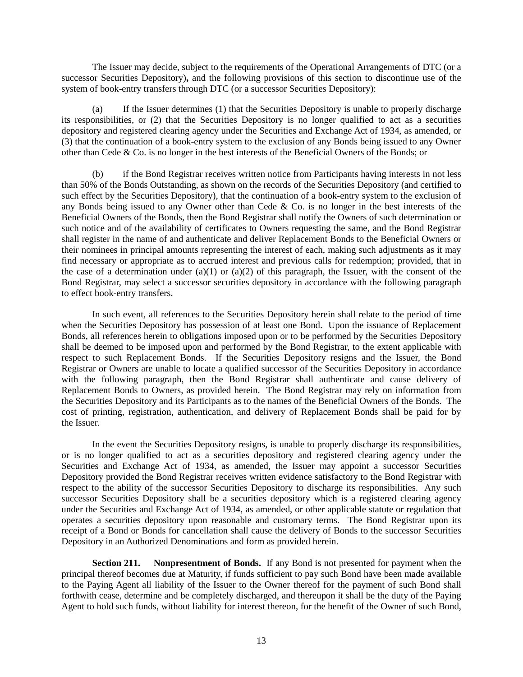The Issuer may decide, subject to the requirements of the Operational Arrangements of DTC (or a successor Securities Depository)**,** and the following provisions of this section to discontinue use of the system of book-entry transfers through DTC (or a successor Securities Depository):

(a) If the Issuer determines (1) that the Securities Depository is unable to properly discharge its responsibilities, or (2) that the Securities Depository is no longer qualified to act as a securities depository and registered clearing agency under the Securities and Exchange Act of 1934, as amended, or (3) that the continuation of a book-entry system to the exclusion of any Bonds being issued to any Owner other than Cede & Co. is no longer in the best interests of the Beneficial Owners of the Bonds; or

(b) if the Bond Registrar receives written notice from Participants having interests in not less than 50% of the Bonds Outstanding, as shown on the records of the Securities Depository (and certified to such effect by the Securities Depository), that the continuation of a book-entry system to the exclusion of any Bonds being issued to any Owner other than Cede & Co. is no longer in the best interests of the Beneficial Owners of the Bonds, then the Bond Registrar shall notify the Owners of such determination or such notice and of the availability of certificates to Owners requesting the same, and the Bond Registrar shall register in the name of and authenticate and deliver Replacement Bonds to the Beneficial Owners or their nominees in principal amounts representing the interest of each, making such adjustments as it may find necessary or appropriate as to accrued interest and previous calls for redemption; provided, that in the case of a determination under (a)(1) or (a)(2) of this paragraph, the Issuer, with the consent of the Bond Registrar, may select a successor securities depository in accordance with the following paragraph to effect book-entry transfers.

In such event, all references to the Securities Depository herein shall relate to the period of time when the Securities Depository has possession of at least one Bond. Upon the issuance of Replacement Bonds, all references herein to obligations imposed upon or to be performed by the Securities Depository shall be deemed to be imposed upon and performed by the Bond Registrar, to the extent applicable with respect to such Replacement Bonds. If the Securities Depository resigns and the Issuer, the Bond Registrar or Owners are unable to locate a qualified successor of the Securities Depository in accordance with the following paragraph, then the Bond Registrar shall authenticate and cause delivery of Replacement Bonds to Owners, as provided herein. The Bond Registrar may rely on information from the Securities Depository and its Participants as to the names of the Beneficial Owners of the Bonds. The cost of printing, registration, authentication, and delivery of Replacement Bonds shall be paid for by the Issuer.

In the event the Securities Depository resigns, is unable to properly discharge its responsibilities, or is no longer qualified to act as a securities depository and registered clearing agency under the Securities and Exchange Act of 1934, as amended, the Issuer may appoint a successor Securities Depository provided the Bond Registrar receives written evidence satisfactory to the Bond Registrar with respect to the ability of the successor Securities Depository to discharge its responsibilities. Any such successor Securities Depository shall be a securities depository which is a registered clearing agency under the Securities and Exchange Act of 1934, as amended, or other applicable statute or regulation that operates a securities depository upon reasonable and customary terms. The Bond Registrar upon its receipt of a Bond or Bonds for cancellation shall cause the delivery of Bonds to the successor Securities Depository in an Authorized Denominations and form as provided herein.

**Section 211. Nonpresentment of Bonds.** If any Bond is not presented for payment when the principal thereof becomes due at Maturity, if funds sufficient to pay such Bond have been made available to the Paying Agent all liability of the Issuer to the Owner thereof for the payment of such Bond shall forthwith cease, determine and be completely discharged, and thereupon it shall be the duty of the Paying Agent to hold such funds, without liability for interest thereon, for the benefit of the Owner of such Bond,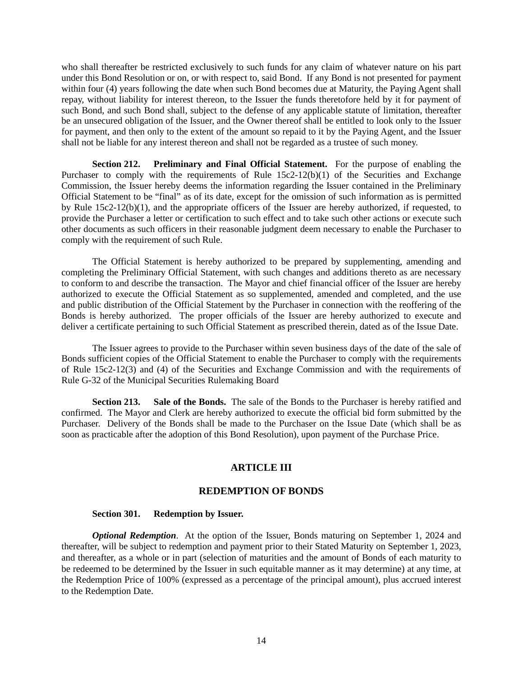who shall thereafter be restricted exclusively to such funds for any claim of whatever nature on his part under this Bond Resolution or on, or with respect to, said Bond. If any Bond is not presented for payment within four (4) years following the date when such Bond becomes due at Maturity, the Paying Agent shall repay, without liability for interest thereon, to the Issuer the funds theretofore held by it for payment of such Bond, and such Bond shall, subject to the defense of any applicable statute of limitation, thereafter be an unsecured obligation of the Issuer, and the Owner thereof shall be entitled to look only to the Issuer for payment, and then only to the extent of the amount so repaid to it by the Paying Agent, and the Issuer shall not be liable for any interest thereon and shall not be regarded as a trustee of such money.

**Section 212. Preliminary and Final Official Statement.** For the purpose of enabling the Purchaser to comply with the requirements of Rule 15c2-12(b)(1) of the Securities and Exchange Commission, the Issuer hereby deems the information regarding the Issuer contained in the Preliminary Official Statement to be "final" as of its date, except for the omission of such information as is permitted by Rule 15c2-12(b)(1), and the appropriate officers of the Issuer are hereby authorized, if requested, to provide the Purchaser a letter or certification to such effect and to take such other actions or execute such other documents as such officers in their reasonable judgment deem necessary to enable the Purchaser to comply with the requirement of such Rule.

The Official Statement is hereby authorized to be prepared by supplementing, amending and completing the Preliminary Official Statement, with such changes and additions thereto as are necessary to conform to and describe the transaction. The Mayor and chief financial officer of the Issuer are hereby authorized to execute the Official Statement as so supplemented, amended and completed, and the use and public distribution of the Official Statement by the Purchaser in connection with the reoffering of the Bonds is hereby authorized. The proper officials of the Issuer are hereby authorized to execute and deliver a certificate pertaining to such Official Statement as prescribed therein, dated as of the Issue Date.

The Issuer agrees to provide to the Purchaser within seven business days of the date of the sale of Bonds sufficient copies of the Official Statement to enable the Purchaser to comply with the requirements of Rule 15c2-12(3) and (4) of the Securities and Exchange Commission and with the requirements of Rule G-32 of the Municipal Securities Rulemaking Board

**Section 213. Sale of the Bonds.** The sale of the Bonds to the Purchaser is hereby ratified and confirmed. The Mayor and Clerk are hereby authorized to execute the official bid form submitted by the Purchaser. Delivery of the Bonds shall be made to the Purchaser on the Issue Date (which shall be as soon as practicable after the adoption of this Bond Resolution), upon payment of the Purchase Price.

# **ARTICLE III**

# **REDEMPTION OF BONDS**

#### **Section 301. Redemption by Issuer.**

*Optional Redemption*. At the option of the Issuer, Bonds maturing on September 1, 2024 and thereafter, will be subject to redemption and payment prior to their Stated Maturity on September 1, 2023, and thereafter, as a whole or in part (selection of maturities and the amount of Bonds of each maturity to be redeemed to be determined by the Issuer in such equitable manner as it may determine) at any time, at the Redemption Price of 100% (expressed as a percentage of the principal amount), plus accrued interest to the Redemption Date.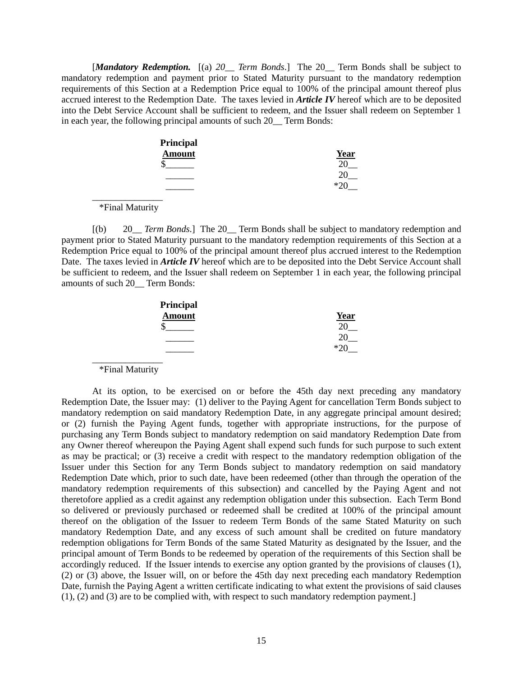[*Mandatory Redemption.* [(a) *20\_\_ Term Bonds*.] The 20\_\_ Term Bonds shall be subject to mandatory redemption and payment prior to Stated Maturity pursuant to the mandatory redemption requirements of this Section at a Redemption Price equal to 100% of the principal amount thereof plus accrued interest to the Redemption Date. The taxes levied in *Article IV* hereof which are to be deposited into the Debt Service Account shall be sufficient to redeem, and the Issuer shall redeem on September 1 in each year, the following principal amounts of such 20\_\_ Term Bonds:

| Principal     |              |
|---------------|--------------|
| <b>Amount</b> | Year         |
|               |              |
|               |              |
|               | $*^{\prime}$ |

 $\overline{\phantom{a}}$  , where  $\overline{\phantom{a}}$ \*Final Maturity

[(b) 20\_\_ *Term Bonds*.] The 20\_\_ Term Bonds shall be subject to mandatory redemption and payment prior to Stated Maturity pursuant to the mandatory redemption requirements of this Section at a Redemption Price equal to 100% of the principal amount thereof plus accrued interest to the Redemption Date. The taxes levied in *Article IV* hereof which are to be deposited into the Debt Service Account shall be sufficient to redeem, and the Issuer shall redeem on September 1 in each year, the following principal amounts of such 20\_\_ Term Bonds:

| Principal     |             |
|---------------|-------------|
| <b>Amount</b> | <b>Year</b> |
| \$            |             |
|               |             |
|               | ∗າ          |

 $\overline{\phantom{a}}$  , where  $\overline{\phantom{a}}$ \*Final Maturity

At its option, to be exercised on or before the 45th day next preceding any mandatory Redemption Date, the Issuer may: (1) deliver to the Paying Agent for cancellation Term Bonds subject to mandatory redemption on said mandatory Redemption Date, in any aggregate principal amount desired; or (2) furnish the Paying Agent funds, together with appropriate instructions, for the purpose of purchasing any Term Bonds subject to mandatory redemption on said mandatory Redemption Date from any Owner thereof whereupon the Paying Agent shall expend such funds for such purpose to such extent as may be practical; or (3) receive a credit with respect to the mandatory redemption obligation of the Issuer under this Section for any Term Bonds subject to mandatory redemption on said mandatory Redemption Date which, prior to such date, have been redeemed (other than through the operation of the mandatory redemption requirements of this subsection) and cancelled by the Paying Agent and not theretofore applied as a credit against any redemption obligation under this subsection. Each Term Bond so delivered or previously purchased or redeemed shall be credited at 100% of the principal amount thereof on the obligation of the Issuer to redeem Term Bonds of the same Stated Maturity on such mandatory Redemption Date, and any excess of such amount shall be credited on future mandatory redemption obligations for Term Bonds of the same Stated Maturity as designated by the Issuer, and the principal amount of Term Bonds to be redeemed by operation of the requirements of this Section shall be accordingly reduced. If the Issuer intends to exercise any option granted by the provisions of clauses (1), (2) or (3) above, the Issuer will, on or before the 45th day next preceding each mandatory Redemption Date, furnish the Paying Agent a written certificate indicating to what extent the provisions of said clauses (1), (2) and (3) are to be complied with, with respect to such mandatory redemption payment.]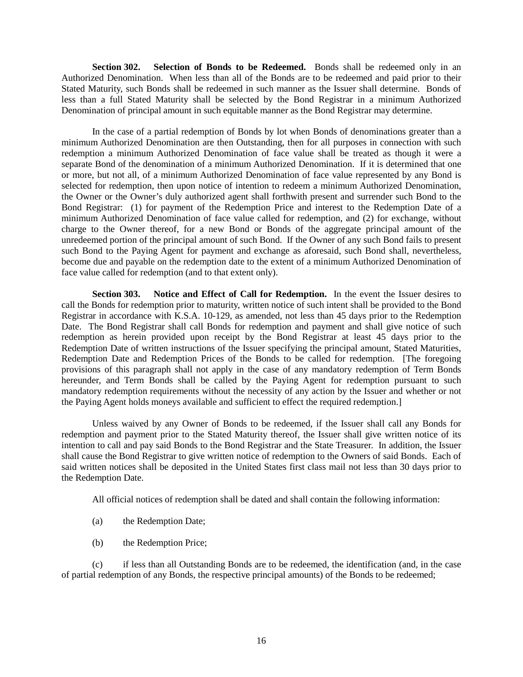**Section 302. Selection of Bonds to be Redeemed.** Bonds shall be redeemed only in an Authorized Denomination. When less than all of the Bonds are to be redeemed and paid prior to their Stated Maturity, such Bonds shall be redeemed in such manner as the Issuer shall determine. Bonds of less than a full Stated Maturity shall be selected by the Bond Registrar in a minimum Authorized Denomination of principal amount in such equitable manner as the Bond Registrar may determine.

In the case of a partial redemption of Bonds by lot when Bonds of denominations greater than a minimum Authorized Denomination are then Outstanding, then for all purposes in connection with such redemption a minimum Authorized Denomination of face value shall be treated as though it were a separate Bond of the denomination of a minimum Authorized Denomination. If it is determined that one or more, but not all, of a minimum Authorized Denomination of face value represented by any Bond is selected for redemption, then upon notice of intention to redeem a minimum Authorized Denomination, the Owner or the Owner's duly authorized agent shall forthwith present and surrender such Bond to the Bond Registrar: (1) for payment of the Redemption Price and interest to the Redemption Date of a minimum Authorized Denomination of face value called for redemption, and (2) for exchange, without charge to the Owner thereof, for a new Bond or Bonds of the aggregate principal amount of the unredeemed portion of the principal amount of such Bond. If the Owner of any such Bond fails to present such Bond to the Paying Agent for payment and exchange as aforesaid, such Bond shall, nevertheless, become due and payable on the redemption date to the extent of a minimum Authorized Denomination of face value called for redemption (and to that extent only).

**Section 303. Notice and Effect of Call for Redemption.** In the event the Issuer desires to call the Bonds for redemption prior to maturity, written notice of such intent shall be provided to the Bond Registrar in accordance with K.S.A. 10-129, as amended, not less than 45 days prior to the Redemption Date. The Bond Registrar shall call Bonds for redemption and payment and shall give notice of such redemption as herein provided upon receipt by the Bond Registrar at least 45 days prior to the Redemption Date of written instructions of the Issuer specifying the principal amount, Stated Maturities, Redemption Date and Redemption Prices of the Bonds to be called for redemption. [The foregoing provisions of this paragraph shall not apply in the case of any mandatory redemption of Term Bonds hereunder, and Term Bonds shall be called by the Paying Agent for redemption pursuant to such mandatory redemption requirements without the necessity of any action by the Issuer and whether or not the Paying Agent holds moneys available and sufficient to effect the required redemption.]

Unless waived by any Owner of Bonds to be redeemed, if the Issuer shall call any Bonds for redemption and payment prior to the Stated Maturity thereof, the Issuer shall give written notice of its intention to call and pay said Bonds to the Bond Registrar and the State Treasurer. In addition, the Issuer shall cause the Bond Registrar to give written notice of redemption to the Owners of said Bonds. Each of said written notices shall be deposited in the United States first class mail not less than 30 days prior to the Redemption Date.

All official notices of redemption shall be dated and shall contain the following information:

- (a) the Redemption Date;
- (b) the Redemption Price;

(c) if less than all Outstanding Bonds are to be redeemed, the identification (and, in the case of partial redemption of any Bonds, the respective principal amounts) of the Bonds to be redeemed;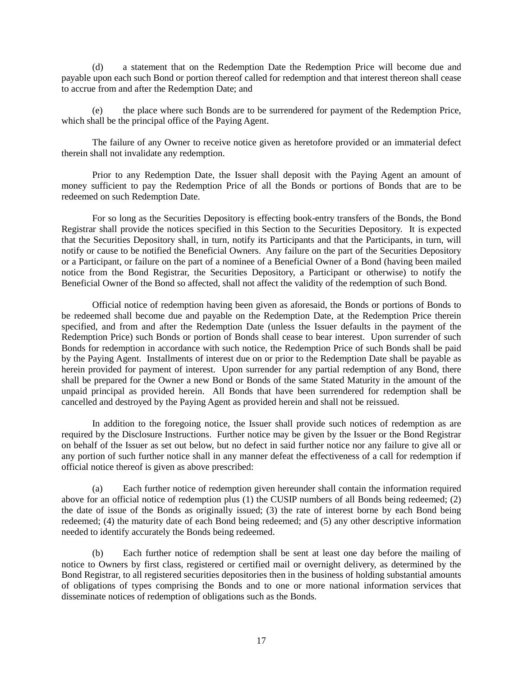(d) a statement that on the Redemption Date the Redemption Price will become due and payable upon each such Bond or portion thereof called for redemption and that interest thereon shall cease to accrue from and after the Redemption Date; and

(e) the place where such Bonds are to be surrendered for payment of the Redemption Price, which shall be the principal office of the Paying Agent.

The failure of any Owner to receive notice given as heretofore provided or an immaterial defect therein shall not invalidate any redemption.

Prior to any Redemption Date, the Issuer shall deposit with the Paying Agent an amount of money sufficient to pay the Redemption Price of all the Bonds or portions of Bonds that are to be redeemed on such Redemption Date.

For so long as the Securities Depository is effecting book-entry transfers of the Bonds, the Bond Registrar shall provide the notices specified in this Section to the Securities Depository. It is expected that the Securities Depository shall, in turn, notify its Participants and that the Participants, in turn, will notify or cause to be notified the Beneficial Owners. Any failure on the part of the Securities Depository or a Participant, or failure on the part of a nominee of a Beneficial Owner of a Bond (having been mailed notice from the Bond Registrar, the Securities Depository, a Participant or otherwise) to notify the Beneficial Owner of the Bond so affected, shall not affect the validity of the redemption of such Bond.

Official notice of redemption having been given as aforesaid, the Bonds or portions of Bonds to be redeemed shall become due and payable on the Redemption Date, at the Redemption Price therein specified, and from and after the Redemption Date (unless the Issuer defaults in the payment of the Redemption Price) such Bonds or portion of Bonds shall cease to bear interest. Upon surrender of such Bonds for redemption in accordance with such notice, the Redemption Price of such Bonds shall be paid by the Paying Agent. Installments of interest due on or prior to the Redemption Date shall be payable as herein provided for payment of interest. Upon surrender for any partial redemption of any Bond, there shall be prepared for the Owner a new Bond or Bonds of the same Stated Maturity in the amount of the unpaid principal as provided herein. All Bonds that have been surrendered for redemption shall be cancelled and destroyed by the Paying Agent as provided herein and shall not be reissued.

In addition to the foregoing notice, the Issuer shall provide such notices of redemption as are required by the Disclosure Instructions. Further notice may be given by the Issuer or the Bond Registrar on behalf of the Issuer as set out below, but no defect in said further notice nor any failure to give all or any portion of such further notice shall in any manner defeat the effectiveness of a call for redemption if official notice thereof is given as above prescribed:

(a) Each further notice of redemption given hereunder shall contain the information required above for an official notice of redemption plus (1) the CUSIP numbers of all Bonds being redeemed; (2) the date of issue of the Bonds as originally issued; (3) the rate of interest borne by each Bond being redeemed; (4) the maturity date of each Bond being redeemed; and (5) any other descriptive information needed to identify accurately the Bonds being redeemed.

(b) Each further notice of redemption shall be sent at least one day before the mailing of notice to Owners by first class, registered or certified mail or overnight delivery, as determined by the Bond Registrar, to all registered securities depositories then in the business of holding substantial amounts of obligations of types comprising the Bonds and to one or more national information services that disseminate notices of redemption of obligations such as the Bonds.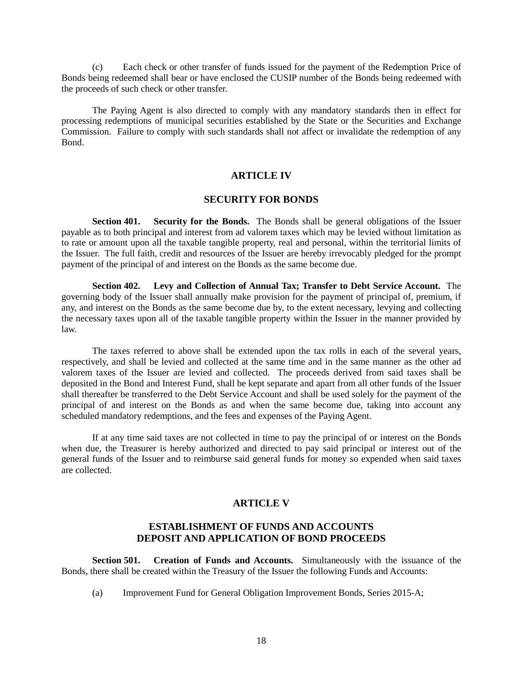(c) Each check or other transfer of funds issued for the payment of the Redemption Price of Bonds being redeemed shall bear or have enclosed the CUSIP number of the Bonds being redeemed with the proceeds of such check or other transfer.

The Paying Agent is also directed to comply with any mandatory standards then in effect for processing redemptions of municipal securities established by the State or the Securities and Exchange Commission. Failure to comply with such standards shall not affect or invalidate the redemption of any Bond.

# **ARTICLE IV**

#### **SECURITY FOR BONDS**

**Section 401. Security for the Bonds.** The Bonds shall be general obligations of the Issuer payable as to both principal and interest from ad valorem taxes which may be levied without limitation as to rate or amount upon all the taxable tangible property, real and personal, within the territorial limits of the Issuer. The full faith, credit and resources of the Issuer are hereby irrevocably pledged for the prompt payment of the principal of and interest on the Bonds as the same become due.

**Section 402. Levy and Collection of Annual Tax; Transfer to Debt Service Account.** The governing body of the Issuer shall annually make provision for the payment of principal of, premium, if any, and interest on the Bonds as the same become due by, to the extent necessary, levying and collecting the necessary taxes upon all of the taxable tangible property within the Issuer in the manner provided by law.

The taxes referred to above shall be extended upon the tax rolls in each of the several years, respectively, and shall be levied and collected at the same time and in the same manner as the other ad valorem taxes of the Issuer are levied and collected. The proceeds derived from said taxes shall be deposited in the Bond and Interest Fund, shall be kept separate and apart from all other funds of the Issuer shall thereafter be transferred to the Debt Service Account and shall be used solely for the payment of the principal of and interest on the Bonds as and when the same become due, taking into account any scheduled mandatory redemptions, and the fees and expenses of the Paying Agent.

If at any time said taxes are not collected in time to pay the principal of or interest on the Bonds when due, the Treasurer is hereby authorized and directed to pay said principal or interest out of the general funds of the Issuer and to reimburse said general funds for money so expended when said taxes are collected.

#### **ARTICLE V**

# **ESTABLISHMENT OF FUNDS AND ACCOUNTS DEPOSIT AND APPLICATION OF BOND PROCEEDS**

**Section 501. Creation of Funds and Accounts.** Simultaneously with the issuance of the Bonds, there shall be created within the Treasury of the Issuer the following Funds and Accounts:

(a) Improvement Fund for General Obligation Improvement Bonds, Series 2015-A;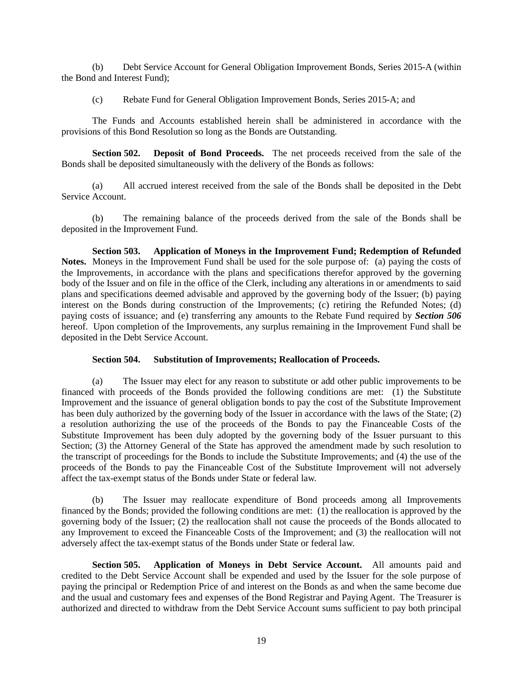(b) Debt Service Account for General Obligation Improvement Bonds, Series 2015-A (within the Bond and Interest Fund);

(c) Rebate Fund for General Obligation Improvement Bonds, Series 2015-A; and

The Funds and Accounts established herein shall be administered in accordance with the provisions of this Bond Resolution so long as the Bonds are Outstanding.

**Section 502. Deposit of Bond Proceeds.** The net proceeds received from the sale of the Bonds shall be deposited simultaneously with the delivery of the Bonds as follows:

(a) All accrued interest received from the sale of the Bonds shall be deposited in the Debt Service Account.

(b) The remaining balance of the proceeds derived from the sale of the Bonds shall be deposited in the Improvement Fund.

**Section 503. Application of Moneys in the Improvement Fund; Redemption of Refunded Notes.** Moneys in the Improvement Fund shall be used for the sole purpose of: (a) paying the costs of the Improvements, in accordance with the plans and specifications therefor approved by the governing body of the Issuer and on file in the office of the Clerk, including any alterations in or amendments to said plans and specifications deemed advisable and approved by the governing body of the Issuer; (b) paying interest on the Bonds during construction of the Improvements; (c) retiring the Refunded Notes; (d) paying costs of issuance; and (e) transferring any amounts to the Rebate Fund required by *Section 506* hereof. Upon completion of the Improvements, any surplus remaining in the Improvement Fund shall be deposited in the Debt Service Account.

#### **Section 504. Substitution of Improvements; Reallocation of Proceeds.**

(a) The Issuer may elect for any reason to substitute or add other public improvements to be financed with proceeds of the Bonds provided the following conditions are met:  $(1)$  the Substitute Improvement and the issuance of general obligation bonds to pay the cost of the Substitute Improvement has been duly authorized by the governing body of the Issuer in accordance with the laws of the State; (2) a resolution authorizing the use of the proceeds of the Bonds to pay the Financeable Costs of the Substitute Improvement has been duly adopted by the governing body of the Issuer pursuant to this Section; (3) the Attorney General of the State has approved the amendment made by such resolution to the transcript of proceedings for the Bonds to include the Substitute Improvements; and (4) the use of the proceeds of the Bonds to pay the Financeable Cost of the Substitute Improvement will not adversely affect the tax-exempt status of the Bonds under State or federal law.

(b) The Issuer may reallocate expenditure of Bond proceeds among all Improvements financed by the Bonds; provided the following conditions are met: (1) the reallocation is approved by the governing body of the Issuer; (2) the reallocation shall not cause the proceeds of the Bonds allocated to any Improvement to exceed the Financeable Costs of the Improvement; and (3) the reallocation will not adversely affect the tax-exempt status of the Bonds under State or federal law.

**Section 505. Application of Moneys in Debt Service Account.** All amounts paid and credited to the Debt Service Account shall be expended and used by the Issuer for the sole purpose of paying the principal or Redemption Price of and interest on the Bonds as and when the same become due and the usual and customary fees and expenses of the Bond Registrar and Paying Agent. The Treasurer is authorized and directed to withdraw from the Debt Service Account sums sufficient to pay both principal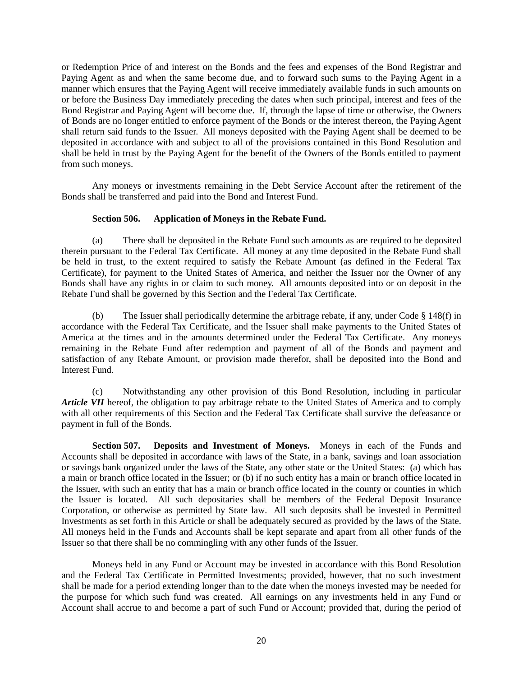or Redemption Price of and interest on the Bonds and the fees and expenses of the Bond Registrar and Paying Agent as and when the same become due, and to forward such sums to the Paying Agent in a manner which ensures that the Paying Agent will receive immediately available funds in such amounts on or before the Business Day immediately preceding the dates when such principal, interest and fees of the Bond Registrar and Paying Agent will become due. If, through the lapse of time or otherwise, the Owners of Bonds are no longer entitled to enforce payment of the Bonds or the interest thereon, the Paying Agent shall return said funds to the Issuer. All moneys deposited with the Paying Agent shall be deemed to be deposited in accordance with and subject to all of the provisions contained in this Bond Resolution and shall be held in trust by the Paying Agent for the benefit of the Owners of the Bonds entitled to payment from such moneys.

Any moneys or investments remaining in the Debt Service Account after the retirement of the Bonds shall be transferred and paid into the Bond and Interest Fund.

### **Section 506. Application of Moneys in the Rebate Fund.**

(a) There shall be deposited in the Rebate Fund such amounts as are required to be deposited therein pursuant to the Federal Tax Certificate. All money at any time deposited in the Rebate Fund shall be held in trust, to the extent required to satisfy the Rebate Amount (as defined in the Federal Tax Certificate), for payment to the United States of America, and neither the Issuer nor the Owner of any Bonds shall have any rights in or claim to such money. All amounts deposited into or on deposit in the Rebate Fund shall be governed by this Section and the Federal Tax Certificate.

(b) The Issuer shall periodically determine the arbitrage rebate, if any, under Code § 148(f) in accordance with the Federal Tax Certificate, and the Issuer shall make payments to the United States of America at the times and in the amounts determined under the Federal Tax Certificate. Any moneys remaining in the Rebate Fund after redemption and payment of all of the Bonds and payment and satisfaction of any Rebate Amount, or provision made therefor, shall be deposited into the Bond and Interest Fund.

(c) Notwithstanding any other provision of this Bond Resolution, including in particular *Article VII* hereof, the obligation to pay arbitrage rebate to the United States of America and to comply with all other requirements of this Section and the Federal Tax Certificate shall survive the defeasance or payment in full of the Bonds.

**Section 507. Deposits and Investment of Moneys.** Moneys in each of the Funds and Accounts shall be deposited in accordance with laws of the State, in a bank, savings and loan association or savings bank organized under the laws of the State, any other state or the United States: (a) which has a main or branch office located in the Issuer; or (b) if no such entity has a main or branch office located in the Issuer, with such an entity that has a main or branch office located in the county or counties in which the Issuer is located. All such depositaries shall be members of the Federal Deposit Insurance Corporation, or otherwise as permitted by State law. All such deposits shall be invested in Permitted Investments as set forth in this Article or shall be adequately secured as provided by the laws of the State. All moneys held in the Funds and Accounts shall be kept separate and apart from all other funds of the Issuer so that there shall be no commingling with any other funds of the Issuer.

Moneys held in any Fund or Account may be invested in accordance with this Bond Resolution and the Federal Tax Certificate in Permitted Investments; provided, however, that no such investment shall be made for a period extending longer than to the date when the moneys invested may be needed for the purpose for which such fund was created. All earnings on any investments held in any Fund or Account shall accrue to and become a part of such Fund or Account; provided that, during the period of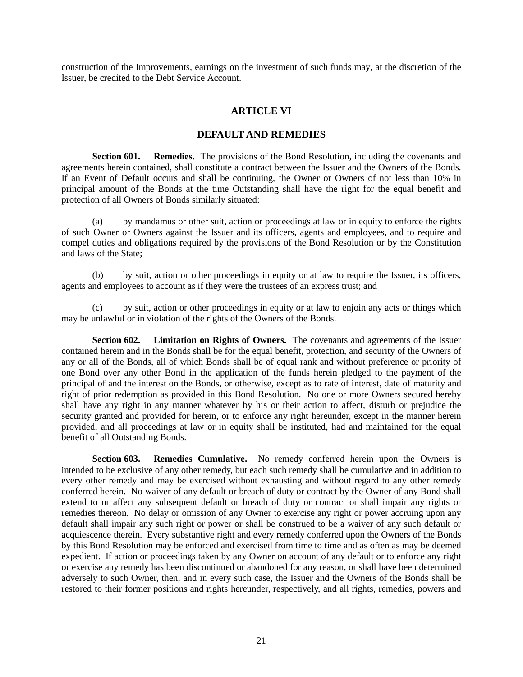construction of the Improvements, earnings on the investment of such funds may, at the discretion of the Issuer, be credited to the Debt Service Account.

# **ARTICLE VI**

# **DEFAULT AND REMEDIES**

**Section 601. Remedies.** The provisions of the Bond Resolution, including the covenants and agreements herein contained, shall constitute a contract between the Issuer and the Owners of the Bonds. If an Event of Default occurs and shall be continuing, the Owner or Owners of not less than 10% in principal amount of the Bonds at the time Outstanding shall have the right for the equal benefit and protection of all Owners of Bonds similarly situated:

(a) by mandamus or other suit, action or proceedings at law or in equity to enforce the rights of such Owner or Owners against the Issuer and its officers, agents and employees, and to require and compel duties and obligations required by the provisions of the Bond Resolution or by the Constitution and laws of the State;

(b) by suit, action or other proceedings in equity or at law to require the Issuer, its officers, agents and employees to account as if they were the trustees of an express trust; and

(c) by suit, action or other proceedings in equity or at law to enjoin any acts or things which may be unlawful or in violation of the rights of the Owners of the Bonds.

**Section 602. Limitation on Rights of Owners.** The covenants and agreements of the Issuer contained herein and in the Bonds shall be for the equal benefit, protection, and security of the Owners of any or all of the Bonds, all of which Bonds shall be of equal rank and without preference or priority of one Bond over any other Bond in the application of the funds herein pledged to the payment of the principal of and the interest on the Bonds, or otherwise, except as to rate of interest, date of maturity and right of prior redemption as provided in this Bond Resolution. No one or more Owners secured hereby shall have any right in any manner whatever by his or their action to affect, disturb or prejudice the security granted and provided for herein, or to enforce any right hereunder, except in the manner herein provided, and all proceedings at law or in equity shall be instituted, had and maintained for the equal benefit of all Outstanding Bonds.

**Section 603. Remedies Cumulative.** No remedy conferred herein upon the Owners is intended to be exclusive of any other remedy, but each such remedy shall be cumulative and in addition to every other remedy and may be exercised without exhausting and without regard to any other remedy conferred herein. No waiver of any default or breach of duty or contract by the Owner of any Bond shall extend to or affect any subsequent default or breach of duty or contract or shall impair any rights or remedies thereon. No delay or omission of any Owner to exercise any right or power accruing upon any default shall impair any such right or power or shall be construed to be a waiver of any such default or acquiescence therein. Every substantive right and every remedy conferred upon the Owners of the Bonds by this Bond Resolution may be enforced and exercised from time to time and as often as may be deemed expedient. If action or proceedings taken by any Owner on account of any default or to enforce any right or exercise any remedy has been discontinued or abandoned for any reason, or shall have been determined adversely to such Owner, then, and in every such case, the Issuer and the Owners of the Bonds shall be restored to their former positions and rights hereunder, respectively, and all rights, remedies, powers and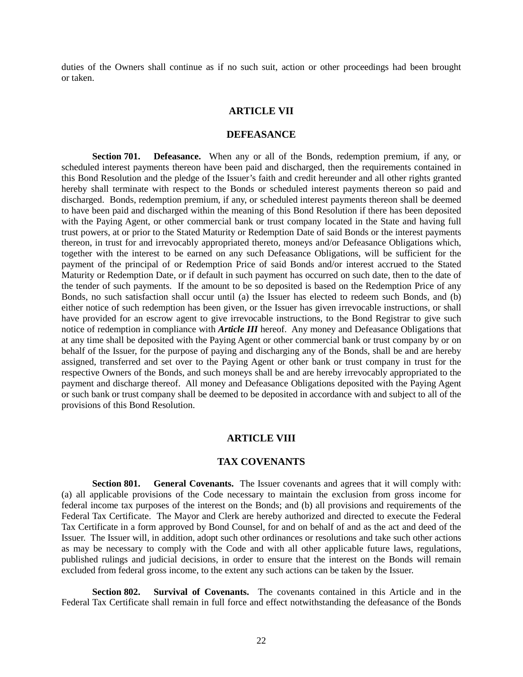duties of the Owners shall continue as if no such suit, action or other proceedings had been brought or taken.

#### **ARTICLE VII**

#### **DEFEASANCE**

**Section 701. Defeasance.** When any or all of the Bonds, redemption premium, if any, or scheduled interest payments thereon have been paid and discharged, then the requirements contained in this Bond Resolution and the pledge of the Issuer's faith and credit hereunder and all other rights granted hereby shall terminate with respect to the Bonds or scheduled interest payments thereon so paid and discharged. Bonds, redemption premium, if any, or scheduled interest payments thereon shall be deemed to have been paid and discharged within the meaning of this Bond Resolution if there has been deposited with the Paying Agent, or other commercial bank or trust company located in the State and having full trust powers, at or prior to the Stated Maturity or Redemption Date of said Bonds or the interest payments thereon, in trust for and irrevocably appropriated thereto, moneys and/or Defeasance Obligations which, together with the interest to be earned on any such Defeasance Obligations, will be sufficient for the payment of the principal of or Redemption Price of said Bonds and/or interest accrued to the Stated Maturity or Redemption Date, or if default in such payment has occurred on such date, then to the date of the tender of such payments. If the amount to be so deposited is based on the Redemption Price of any Bonds, no such satisfaction shall occur until (a) the Issuer has elected to redeem such Bonds, and (b) either notice of such redemption has been given, or the Issuer has given irrevocable instructions, or shall have provided for an escrow agent to give irrevocable instructions, to the Bond Registrar to give such notice of redemption in compliance with *Article III* hereof. Any money and Defeasance Obligations that at any time shall be deposited with the Paying Agent or other commercial bank or trust company by or on behalf of the Issuer, for the purpose of paying and discharging any of the Bonds, shall be and are hereby assigned, transferred and set over to the Paying Agent or other bank or trust company in trust for the respective Owners of the Bonds, and such moneys shall be and are hereby irrevocably appropriated to the payment and discharge thereof. All money and Defeasance Obligations deposited with the Paying Agent or such bank or trust company shall be deemed to be deposited in accordance with and subject to all of the provisions of this Bond Resolution.

#### **ARTICLE VIII**

### **TAX COVENANTS**

**Section 801. General Covenants.** The Issuer covenants and agrees that it will comply with: (a) all applicable provisions of the Code necessary to maintain the exclusion from gross income for federal income tax purposes of the interest on the Bonds; and (b) all provisions and requirements of the Federal Tax Certificate. The Mayor and Clerk are hereby authorized and directed to execute the Federal Tax Certificate in a form approved by Bond Counsel, for and on behalf of and as the act and deed of the Issuer. The Issuer will, in addition, adopt such other ordinances or resolutions and take such other actions as may be necessary to comply with the Code and with all other applicable future laws, regulations, published rulings and judicial decisions, in order to ensure that the interest on the Bonds will remain excluded from federal gross income, to the extent any such actions can be taken by the Issuer.

**Section 802. Survival of Covenants.** The covenants contained in this Article and in the Federal Tax Certificate shall remain in full force and effect notwithstanding the defeasance of the Bonds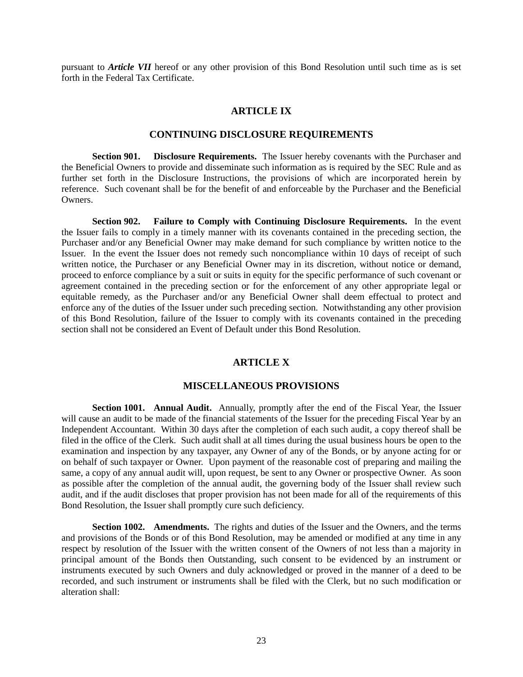pursuant to *Article VII* hereof or any other provision of this Bond Resolution until such time as is set forth in the Federal Tax Certificate.

#### **ARTICLE IX**

#### **CONTINUING DISCLOSURE REQUIREMENTS**

**Section 901. Disclosure Requirements.** The Issuer hereby covenants with the Purchaser and the Beneficial Owners to provide and disseminate such information as is required by the SEC Rule and as further set forth in the Disclosure Instructions, the provisions of which are incorporated herein by reference. Such covenant shall be for the benefit of and enforceable by the Purchaser and the Beneficial Owners.

**Section 902. Failure to Comply with Continuing Disclosure Requirements.** In the event the Issuer fails to comply in a timely manner with its covenants contained in the preceding section, the Purchaser and/or any Beneficial Owner may make demand for such compliance by written notice to the Issuer. In the event the Issuer does not remedy such noncompliance within 10 days of receipt of such written notice, the Purchaser or any Beneficial Owner may in its discretion, without notice or demand, proceed to enforce compliance by a suit or suits in equity for the specific performance of such covenant or agreement contained in the preceding section or for the enforcement of any other appropriate legal or equitable remedy, as the Purchaser and/or any Beneficial Owner shall deem effectual to protect and enforce any of the duties of the Issuer under such preceding section. Notwithstanding any other provision of this Bond Resolution, failure of the Issuer to comply with its covenants contained in the preceding section shall not be considered an Event of Default under this Bond Resolution.

# **ARTICLE X**

### **MISCELLANEOUS PROVISIONS**

**Section 1001. Annual Audit.** Annually, promptly after the end of the Fiscal Year, the Issuer will cause an audit to be made of the financial statements of the Issuer for the preceding Fiscal Year by an Independent Accountant. Within 30 days after the completion of each such audit, a copy thereof shall be filed in the office of the Clerk. Such audit shall at all times during the usual business hours be open to the examination and inspection by any taxpayer, any Owner of any of the Bonds, or by anyone acting for or on behalf of such taxpayer or Owner. Upon payment of the reasonable cost of preparing and mailing the same, a copy of any annual audit will, upon request, be sent to any Owner or prospective Owner. As soon as possible after the completion of the annual audit, the governing body of the Issuer shall review such audit, and if the audit discloses that proper provision has not been made for all of the requirements of this Bond Resolution, the Issuer shall promptly cure such deficiency.

**Section 1002. Amendments.** The rights and duties of the Issuer and the Owners, and the terms and provisions of the Bonds or of this Bond Resolution, may be amended or modified at any time in any respect by resolution of the Issuer with the written consent of the Owners of not less than a majority in principal amount of the Bonds then Outstanding, such consent to be evidenced by an instrument or instruments executed by such Owners and duly acknowledged or proved in the manner of a deed to be recorded, and such instrument or instruments shall be filed with the Clerk, but no such modification or alteration shall: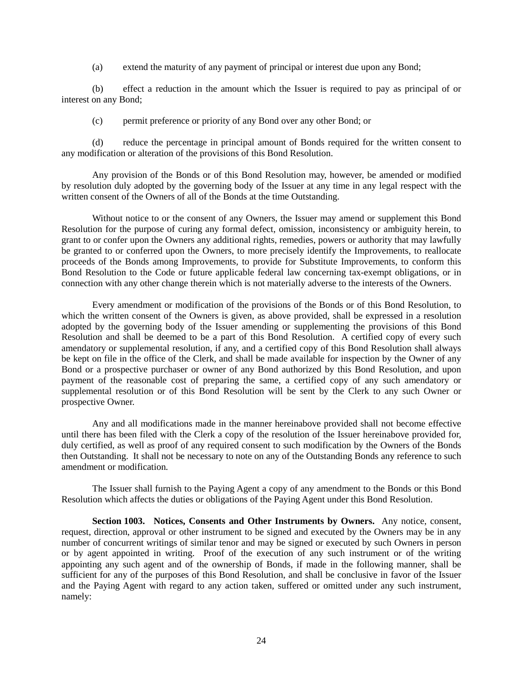(a) extend the maturity of any payment of principal or interest due upon any Bond;

(b) effect a reduction in the amount which the Issuer is required to pay as principal of or interest on any Bond;

(c) permit preference or priority of any Bond over any other Bond; or

(d) reduce the percentage in principal amount of Bonds required for the written consent to any modification or alteration of the provisions of this Bond Resolution.

Any provision of the Bonds or of this Bond Resolution may, however, be amended or modified by resolution duly adopted by the governing body of the Issuer at any time in any legal respect with the written consent of the Owners of all of the Bonds at the time Outstanding.

Without notice to or the consent of any Owners, the Issuer may amend or supplement this Bond Resolution for the purpose of curing any formal defect, omission, inconsistency or ambiguity herein, to grant to or confer upon the Owners any additional rights, remedies, powers or authority that may lawfully be granted to or conferred upon the Owners, to more precisely identify the Improvements, to reallocate proceeds of the Bonds among Improvements, to provide for Substitute Improvements, to conform this Bond Resolution to the Code or future applicable federal law concerning tax-exempt obligations, or in connection with any other change therein which is not materially adverse to the interests of the Owners.

Every amendment or modification of the provisions of the Bonds or of this Bond Resolution, to which the written consent of the Owners is given, as above provided, shall be expressed in a resolution adopted by the governing body of the Issuer amending or supplementing the provisions of this Bond Resolution and shall be deemed to be a part of this Bond Resolution. A certified copy of every such amendatory or supplemental resolution, if any, and a certified copy of this Bond Resolution shall always be kept on file in the office of the Clerk, and shall be made available for inspection by the Owner of any Bond or a prospective purchaser or owner of any Bond authorized by this Bond Resolution, and upon payment of the reasonable cost of preparing the same, a certified copy of any such amendatory or supplemental resolution or of this Bond Resolution will be sent by the Clerk to any such Owner or prospective Owner.

Any and all modifications made in the manner hereinabove provided shall not become effective until there has been filed with the Clerk a copy of the resolution of the Issuer hereinabove provided for, duly certified, as well as proof of any required consent to such modification by the Owners of the Bonds then Outstanding. It shall not be necessary to note on any of the Outstanding Bonds any reference to such amendment or modification.

The Issuer shall furnish to the Paying Agent a copy of any amendment to the Bonds or this Bond Resolution which affects the duties or obligations of the Paying Agent under this Bond Resolution.

**Section 1003. Notices, Consents and Other Instruments by Owners.** Any notice, consent, request, direction, approval or other instrument to be signed and executed by the Owners may be in any number of concurrent writings of similar tenor and may be signed or executed by such Owners in person or by agent appointed in writing. Proof of the execution of any such instrument or of the writing appointing any such agent and of the ownership of Bonds, if made in the following manner, shall be sufficient for any of the purposes of this Bond Resolution, and shall be conclusive in favor of the Issuer and the Paying Agent with regard to any action taken, suffered or omitted under any such instrument, namely: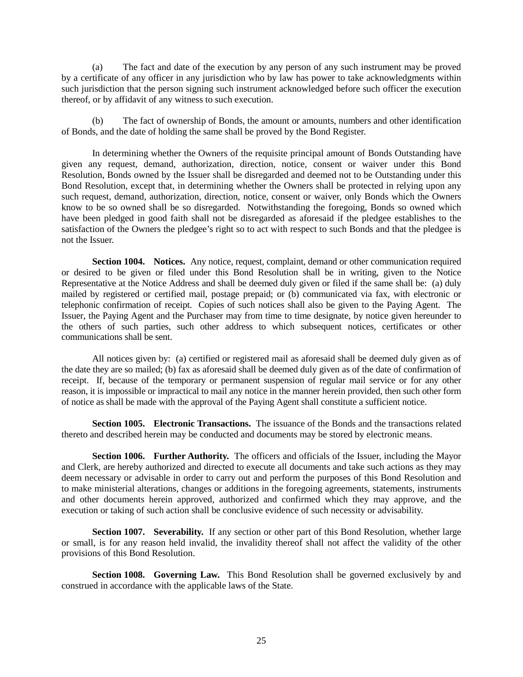(a) The fact and date of the execution by any person of any such instrument may be proved by a certificate of any officer in any jurisdiction who by law has power to take acknowledgments within such jurisdiction that the person signing such instrument acknowledged before such officer the execution thereof, or by affidavit of any witness to such execution.

(b) The fact of ownership of Bonds, the amount or amounts, numbers and other identification of Bonds, and the date of holding the same shall be proved by the Bond Register.

In determining whether the Owners of the requisite principal amount of Bonds Outstanding have given any request, demand, authorization, direction, notice, consent or waiver under this Bond Resolution, Bonds owned by the Issuer shall be disregarded and deemed not to be Outstanding under this Bond Resolution, except that, in determining whether the Owners shall be protected in relying upon any such request, demand, authorization, direction, notice, consent or waiver, only Bonds which the Owners know to be so owned shall be so disregarded. Notwithstanding the foregoing, Bonds so owned which have been pledged in good faith shall not be disregarded as aforesaid if the pledgee establishes to the satisfaction of the Owners the pledgee's right so to act with respect to such Bonds and that the pledgee is not the Issuer.

**Section 1004. Notices.** Any notice, request, complaint, demand or other communication required or desired to be given or filed under this Bond Resolution shall be in writing, given to the Notice Representative at the Notice Address and shall be deemed duly given or filed if the same shall be: (a) duly mailed by registered or certified mail, postage prepaid; or (b) communicated via fax, with electronic or telephonic confirmation of receipt. Copies of such notices shall also be given to the Paying Agent. The Issuer, the Paying Agent and the Purchaser may from time to time designate, by notice given hereunder to the others of such parties, such other address to which subsequent notices, certificates or other communications shall be sent.

All notices given by: (a) certified or registered mail as aforesaid shall be deemed duly given as of the date they are so mailed; (b) fax as aforesaid shall be deemed duly given as of the date of confirmation of receipt. If, because of the temporary or permanent suspension of regular mail service or for any other reason, it is impossible or impractical to mail any notice in the manner herein provided, then such other form of notice as shall be made with the approval of the Paying Agent shall constitute a sufficient notice.

**Section 1005. Electronic Transactions.** The issuance of the Bonds and the transactions related thereto and described herein may be conducted and documents may be stored by electronic means.

**Section 1006. Further Authority.** The officers and officials of the Issuer, including the Mayor and Clerk, are hereby authorized and directed to execute all documents and take such actions as they may deem necessary or advisable in order to carry out and perform the purposes of this Bond Resolution and to make ministerial alterations, changes or additions in the foregoing agreements, statements, instruments and other documents herein approved, authorized and confirmed which they may approve, and the execution or taking of such action shall be conclusive evidence of such necessity or advisability.

**Section 1007. Severability.** If any section or other part of this Bond Resolution, whether large or small, is for any reason held invalid, the invalidity thereof shall not affect the validity of the other provisions of this Bond Resolution.

**Section 1008. Governing Law.** This Bond Resolution shall be governed exclusively by and construed in accordance with the applicable laws of the State.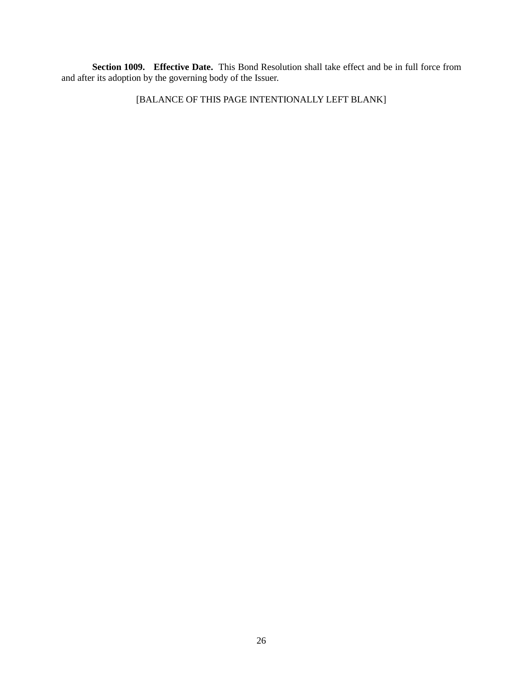**Section 1009. Effective Date.** This Bond Resolution shall take effect and be in full force from and after its adoption by the governing body of the Issuer.

[BALANCE OF THIS PAGE INTENTIONALLY LEFT BLANK]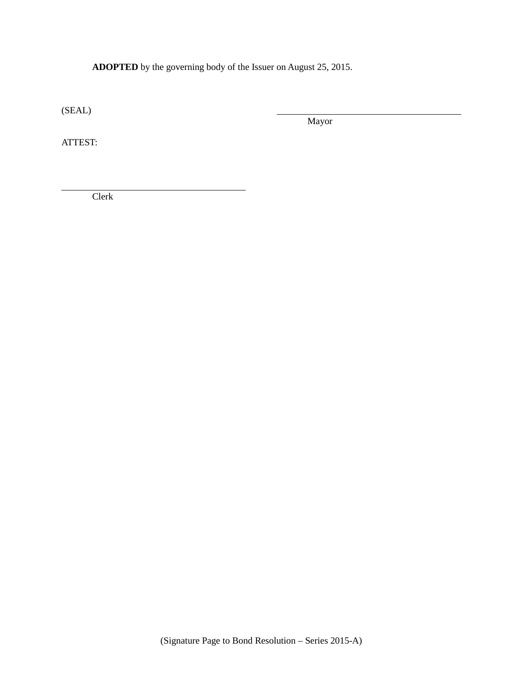**ADOPTED** by the governing body of the Issuer on August 25, 2015.

(SEAL)

Mayor

ATTEST:

Clerk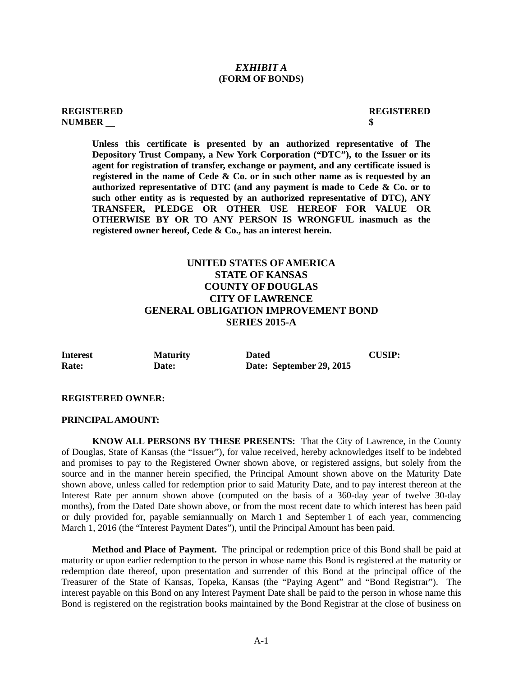#### *EXHIBIT A* **(FORM OF BONDS)**

#### **REGISTERED REGISTERED NUMBER \$**

**Unless this certificate is presented by an authorized representative of The Depository Trust Company, a New York Corporation ("DTC"), to the Issuer or its agent for registration of transfer, exchange or payment, and any certificate issued is registered in the name of Cede & Co. or in such other name as is requested by an authorized representative of DTC (and any payment is made to Cede & Co. or to such other entity as is requested by an authorized representative of DTC), ANY TRANSFER, PLEDGE OR OTHER USE HEREOF FOR VALUE OR OTHERWISE BY OR TO ANY PERSON IS WRONGFUL inasmuch as the registered owner hereof, Cede & Co., has an interest herein.**

# **UNITED STATES OF AMERICA STATE OF KANSAS COUNTY OF DOUGLAS CITY OF LAWRENCE GENERAL OBLIGATION IMPROVEMENT BOND SERIES 2015-A**

| <b>Interest</b> | <b>Maturity</b> | <b>Dated</b>             | <b>CUSIP:</b> |
|-----------------|-----------------|--------------------------|---------------|
| Rate:           | <b>Date:</b>    | Date: September 29, 2015 |               |

#### **REGISTERED OWNER:**

#### **PRINCIPAL AMOUNT:**

**KNOW ALL PERSONS BY THESE PRESENTS:** That the City of Lawrence, in the County of Douglas, State of Kansas (the "Issuer"), for value received, hereby acknowledges itself to be indebted and promises to pay to the Registered Owner shown above, or registered assigns, but solely from the source and in the manner herein specified, the Principal Amount shown above on the Maturity Date shown above, unless called for redemption prior to said Maturity Date, and to pay interest thereon at the Interest Rate per annum shown above (computed on the basis of a 360-day year of twelve 30-day months), from the Dated Date shown above, or from the most recent date to which interest has been paid or duly provided for, payable semiannually on March 1 and September 1 of each year, commencing March 1, 2016 (the "Interest Payment Dates"), until the Principal Amount has been paid.

**Method and Place of Payment.** The principal or redemption price of this Bond shall be paid at maturity or upon earlier redemption to the person in whose name this Bond is registered at the maturity or redemption date thereof, upon presentation and surrender of this Bond at the principal office of the Treasurer of the State of Kansas, Topeka, Kansas (the "Paying Agent" and "Bond Registrar"). The interest payable on this Bond on any Interest Payment Date shall be paid to the person in whose name this Bond is registered on the registration books maintained by the Bond Registrar at the close of business on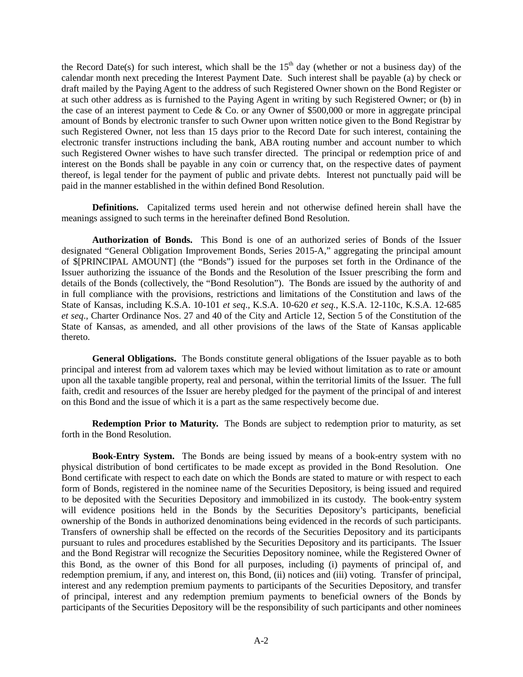the Record Date(s) for such interest, which shall be the  $15<sup>th</sup>$  day (whether or not a business day) of the calendar month next preceding the Interest Payment Date. Such interest shall be payable (a) by check or draft mailed by the Paying Agent to the address of such Registered Owner shown on the Bond Register or at such other address as is furnished to the Paying Agent in writing by such Registered Owner; or (b) in the case of an interest payment to Cede & Co. or any Owner of \$500,000 or more in aggregate principal amount of Bonds by electronic transfer to such Owner upon written notice given to the Bond Registrar by such Registered Owner, not less than 15 days prior to the Record Date for such interest, containing the electronic transfer instructions including the bank, ABA routing number and account number to which such Registered Owner wishes to have such transfer directed. The principal or redemption price of and interest on the Bonds shall be payable in any coin or currency that, on the respective dates of payment thereof, is legal tender for the payment of public and private debts. Interest not punctually paid will be paid in the manner established in the within defined Bond Resolution.

**Definitions.** Capitalized terms used herein and not otherwise defined herein shall have the meanings assigned to such terms in the hereinafter defined Bond Resolution.

**Authorization of Bonds.** This Bond is one of an authorized series of Bonds of the Issuer designated "General Obligation Improvement Bonds, Series 2015-A," aggregating the principal amount of \$[PRINCIPAL AMOUNT] (the "Bonds") issued for the purposes set forth in the Ordinance of the Issuer authorizing the issuance of the Bonds and the Resolution of the Issuer prescribing the form and details of the Bonds (collectively, the "Bond Resolution"). The Bonds are issued by the authority of and in full compliance with the provisions, restrictions and limitations of the Constitution and laws of the State of Kansas, including K.S.A. 10-101 *et seq*., K.S.A. 10-620 *et seq.*, K.S.A. 12-110c, K.S.A. 12-685 *et seq*., Charter Ordinance Nos. 27 and 40 of the City and Article 12, Section 5 of the Constitution of the State of Kansas, as amended, and all other provisions of the laws of the State of Kansas applicable thereto.

**General Obligations.** The Bonds constitute general obligations of the Issuer payable as to both principal and interest from ad valorem taxes which may be levied without limitation as to rate or amount upon all the taxable tangible property, real and personal, within the territorial limits of the Issuer. The full faith, credit and resources of the Issuer are hereby pledged for the payment of the principal of and interest on this Bond and the issue of which it is a part as the same respectively become due.

**Redemption Prior to Maturity.** The Bonds are subject to redemption prior to maturity, as set forth in the Bond Resolution.

**Book-Entry System.** The Bonds are being issued by means of a book-entry system with no physical distribution of bond certificates to be made except as provided in the Bond Resolution. One Bond certificate with respect to each date on which the Bonds are stated to mature or with respect to each form of Bonds, registered in the nominee name of the Securities Depository, is being issued and required to be deposited with the Securities Depository and immobilized in its custody. The book-entry system will evidence positions held in the Bonds by the Securities Depository's participants, beneficial ownership of the Bonds in authorized denominations being evidenced in the records of such participants. Transfers of ownership shall be effected on the records of the Securities Depository and its participants pursuant to rules and procedures established by the Securities Depository and its participants. The Issuer and the Bond Registrar will recognize the Securities Depository nominee, while the Registered Owner of this Bond, as the owner of this Bond for all purposes, including (i) payments of principal of, and redemption premium, if any, and interest on, this Bond, (ii) notices and (iii) voting. Transfer of principal, interest and any redemption premium payments to participants of the Securities Depository, and transfer of principal, interest and any redemption premium payments to beneficial owners of the Bonds by participants of the Securities Depository will be the responsibility of such participants and other nominees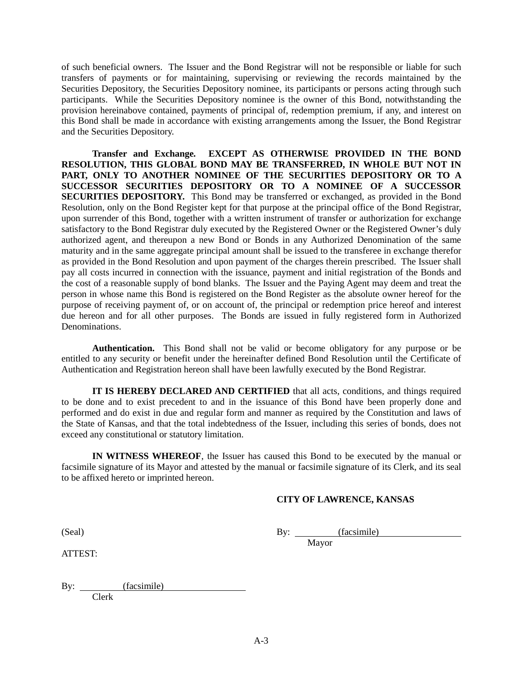of such beneficial owners. The Issuer and the Bond Registrar will not be responsible or liable for such transfers of payments or for maintaining, supervising or reviewing the records maintained by the Securities Depository, the Securities Depository nominee, its participants or persons acting through such participants. While the Securities Depository nominee is the owner of this Bond, notwithstanding the provision hereinabove contained, payments of principal of, redemption premium, if any, and interest on this Bond shall be made in accordance with existing arrangements among the Issuer, the Bond Registrar and the Securities Depository.

**Transfer and Exchange***.* **EXCEPT AS OTHERWISE PROVIDED IN THE BOND RESOLUTION, THIS GLOBAL BOND MAY BE TRANSFERRED, IN WHOLE BUT NOT IN PART, ONLY TO ANOTHER NOMINEE OF THE SECURITIES DEPOSITORY OR TO A SUCCESSOR SECURITIES DEPOSITORY OR TO A NOMINEE OF A SUCCESSOR SECURITIES DEPOSITORY.** This Bond may be transferred or exchanged, as provided in the Bond Resolution, only on the Bond Register kept for that purpose at the principal office of the Bond Registrar, upon surrender of this Bond, together with a written instrument of transfer or authorization for exchange satisfactory to the Bond Registrar duly executed by the Registered Owner or the Registered Owner's duly authorized agent, and thereupon a new Bond or Bonds in any Authorized Denomination of the same maturity and in the same aggregate principal amount shall be issued to the transferee in exchange therefor as provided in the Bond Resolution and upon payment of the charges therein prescribed. The Issuer shall pay all costs incurred in connection with the issuance, payment and initial registration of the Bonds and the cost of a reasonable supply of bond blanks. The Issuer and the Paying Agent may deem and treat the person in whose name this Bond is registered on the Bond Register as the absolute owner hereof for the purpose of receiving payment of, or on account of, the principal or redemption price hereof and interest due hereon and for all other purposes. The Bonds are issued in fully registered form in Authorized Denominations.

**Authentication.** This Bond shall not be valid or become obligatory for any purpose or be entitled to any security or benefit under the hereinafter defined Bond Resolution until the Certificate of Authentication and Registration hereon shall have been lawfully executed by the Bond Registrar.

**IT IS HEREBY DECLARED AND CERTIFIED** that all acts, conditions, and things required to be done and to exist precedent to and in the issuance of this Bond have been properly done and performed and do exist in due and regular form and manner as required by the Constitution and laws of the State of Kansas, and that the total indebtedness of the Issuer, including this series of bonds, does not exceed any constitutional or statutory limitation.

**IN WITNESS WHEREOF**, the Issuer has caused this Bond to be executed by the manual or facsimile signature of its Mayor and attested by the manual or facsimile signature of its Clerk, and its seal to be affixed hereto or imprinted hereon.

### **CITY OF LAWRENCE, KANSAS**

(Seal) By: *(facsimile)* 

ATTEST:

Mayor

By: (facsimile) Clerk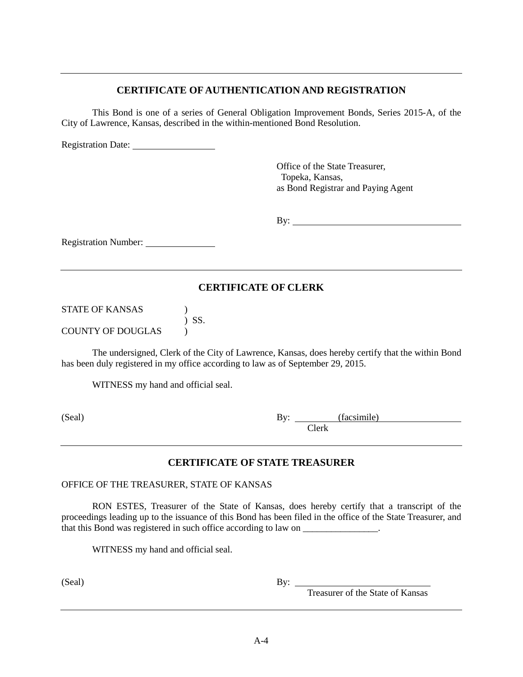# **CERTIFICATE OF AUTHENTICATION AND REGISTRATION**

This Bond is one of a series of General Obligation Improvement Bonds, Series 2015-A, of the City of Lawrence, Kansas, described in the within-mentioned Bond Resolution.

Registration Date:

Office of the State Treasurer, Topeka, Kansas, as Bond Registrar and Paying Agent

By: <u>second</u> contract the second contract of the second contract of the second contract of the second contract of the second contract of the second contract of the second contract of the second contract of the second contr

Registration Number:

# **CERTIFICATE OF CLERK**

STATE OF KANSAS (1) ) SS. COUNTY OF DOUGLAS )

The undersigned, Clerk of the City of Lawrence, Kansas, does hereby certify that the within Bond has been duly registered in my office according to law as of September 29, 2015.

WITNESS my hand and official seal.

(Seal) By: (facsimile) Clerk

# **CERTIFICATE OF STATE TREASURER**

OFFICE OF THE TREASURER, STATE OF KANSAS

RON ESTES, Treasurer of the State of Kansas, does hereby certify that a transcript of the proceedings leading up to the issuance of this Bond has been filed in the office of the State Treasurer, and that this Bond was registered in such office according to law on \_\_\_\_\_\_\_\_\_\_\_\_\_\_\_\_.

WITNESS my hand and official seal.

(Seal) By:

By: Treasurer of the State of Kansas